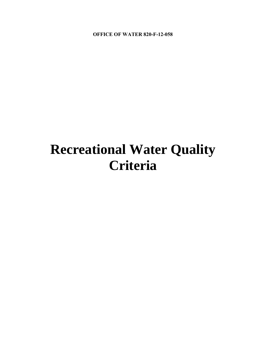**OFFICE OF WATER 820-F-12-058** 

# **Recreational Water Quality Criteria**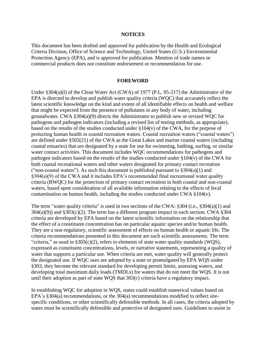#### **NOTICES**

<span id="page-1-0"></span>This document has been drafted and approved for publication by the Health and Ecological Criteria Division, Office of Science and Technology, United States (U.S.) Environmental Protection Agency (EPA), and is approved for publication. Mention of trade names or commercial products does not constitute endorsement or recommendation for use.

#### **FOREWORD**

<span id="page-1-1"></span>Under §304(a)(l) of the Clean Water Act (CWA) of 1977 (P.L. 95-217) the Administrator of the EPA is directed to develop and publish water quality criteria (WQC) that accurately reflect the latest scientific knowledge on the kind and extent of all identifiable effects on health and welfare that might be expected from the presence of pollutants in any body of water, including groundwater. CWA §304(a)(9) directs the Administrator to publish new or revised WQC for pathogens and pathogen indicators (including a revised list of testing methods, as appropriate), based on the results of the studies conducted under §104(v) of the CWA, for the purpose of protecting human health in coastal recreation waters. Coastal recreation waters ("coastal waters") are defined under §502(21) of the CWA as the Great Lakes and marine coastal waters (including coastal estuaries) that are designated by a state for use for swimming, bathing, surfing, or similar water contact activities. This document includes WQC recommendations for pathogens and pathogen indicators based on the results of the studies conducted under §104(v) of the CWA for both coastal recreational waters and other waters designated for primary contact recreation ("non-coastal waters"). As such this document is published pursuant to  $\S 304(a)(1)$  and §304(a)(9) of the CWA and it includes EPA's recommended final recreational water quality criteria (RWQC) for the protection of primary contact recreation in both coastal and non-coastal waters, based upon consideration of all available information relating to the effects of fecal contamination on human health, including the studies conducted under CWA §104(v).

The term "water quality criteria" is used in two sections of the CWA: §304 (i.e., §304(a)(1) and  $304(a)(9)$ ) and  $$303(c)(2)$ . The term has a different program impact in each section. CWA  $$304$ criteria are developed by EPA based on the latest scientific information on the relationship that the effect of a constituent concentration has on particular aquatic species and/or human health. They are a non-regulatory, scientific assessment of effects on human health or aquatic life. The criteria recommendations presented in this document are such scientific assessments. The term "criteria," as used in  $\S 303(c)(2)$ , refers to elements of state water quality standards (WOS), expressed as constituent concentrations, levels, or narrative statements, representing a quality of water that supports a particular use. When criteria are met, water quality will generally protect the designated use. If WQC uses are adopted by a state or promulgated by EPA WQS under §303, they become the relevant standard for developing permit limits, assessing waters, and developing total maximum daily loads (TMDLs) for waters that do not meet the WQS. It is not until their adoption as part of state WQS that 303(c) criteria have a regulatory impact.

In establishing WQC for adoption in WQS, states could establish numerical values based on EPA's §304(a) recommendations, or the 304(a) recommendations modified to reflect sitespecific conditions, or other scientifically defensible methods. In all cases, the criteria adopted by states must be scientifically defensible and protective of designated uses. Guidelines to assist in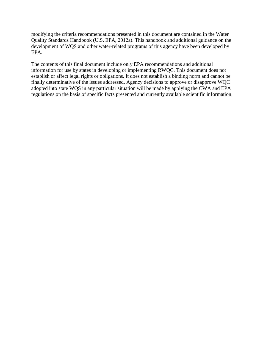modifying the criteria recommendations presented in this document are contained in the Water Quality Standards Handbook (U.S. EPA, 2012a). This handbook and additional guidance on the development of WQS and other water-related programs of this agency have been developed by EPA.

The contents of this final document include only EPA recommendations and additional information for use by states in developing or implementing RWQC. This document does not establish or affect legal rights or obligations. It does not establish a binding norm and cannot be finally determinative of the issues addressed. Agency decisions to approve or disapprove WQC adopted into state WQS in any particular situation will be made by applying the CWA and EPA regulations on the basis of specific facts presented and currently available scientific information.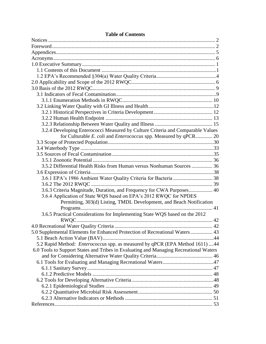| 3.2.4 Developing Enterococci Measured by Culture Criteria and Comparable Values       |  |
|---------------------------------------------------------------------------------------|--|
| for Culturable E. coli and Enterococcus spp. Measured by qPCR 20                      |  |
|                                                                                       |  |
|                                                                                       |  |
|                                                                                       |  |
|                                                                                       |  |
| 3.5.2 Differential Health Risks from Human versus Nonhuman Sources  36                |  |
|                                                                                       |  |
|                                                                                       |  |
|                                                                                       |  |
| 3.6.3 Criteria Magnitude, Duration, and Frequency for CWA Purposes 40                 |  |
| 3.6.4 Application of State WQS based on EPA's 2012 RWQC for NPDES                     |  |
| Permitting, 303(d) Listing, TMDL Development, and Beach Notification                  |  |
|                                                                                       |  |
| 3.6.5 Practical Considerations for Implementing State WQS based on the 2012           |  |
|                                                                                       |  |
|                                                                                       |  |
| 5.0 Supplemental Elements for Enhanced Protection of Recreational Waters 43           |  |
|                                                                                       |  |
| 5.2 Rapid Method: Enterococcus spp. as measured by qPCR (EPA Method 1611) 44          |  |
| 6.0 Tools to Support States and Tribes in Evaluating and Managing Recreational Waters |  |
|                                                                                       |  |
|                                                                                       |  |
|                                                                                       |  |
|                                                                                       |  |
|                                                                                       |  |
|                                                                                       |  |
|                                                                                       |  |
|                                                                                       |  |
|                                                                                       |  |

# **Table of Contents**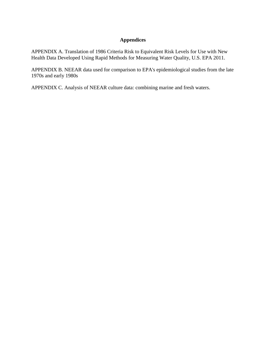# **Appendices**

<span id="page-4-0"></span>APPENDIX A. Translation of 1986 Criteria Risk to Equivalent Risk Levels for Use with New Health Data Developed Using Rapid Methods for Measuring Water Quality, U.S. EPA 2011.

APPENDIX B. NEEAR data used for comparison to EPA's epidemiological studies from the late 1970s and early 1980s

APPENDIX C. Analysis of NEEAR culture data: combining marine and fresh waters.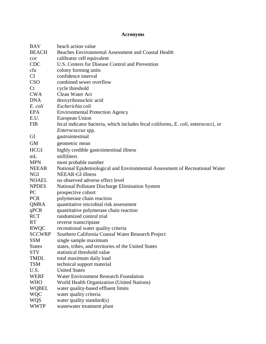# **Acronyms**

<span id="page-5-0"></span>

| <b>BAV</b>    | beach action value                                                                 |
|---------------|------------------------------------------------------------------------------------|
| <b>BEACH</b>  | Beaches Environmental Assessment and Coastal Health                                |
| cce           | calibrator cell equivalent                                                         |
| <b>CDC</b>    | U.S. Centers for Disease Control and Prevention                                    |
| cfu           | colony forming units                                                               |
| CI            | confidence interval                                                                |
| <b>CSO</b>    | combined sewer overflow                                                            |
| Ct            | cycle threshold                                                                    |
| <b>CWA</b>    | Clean Water Act                                                                    |
| <b>DNA</b>    | deoxyribonucleic acid                                                              |
| E. coli       | Escherichia coli                                                                   |
| EPA           | <b>Environmental Protection Agency</b>                                             |
| E.U.          | European Union                                                                     |
| <b>FIB</b>    | fecal indicator bacteria, which includes fecal coliforms, E. coli, enterococci, or |
|               | <i>Enterococcus</i> spp.                                                           |
| GI            | gastrointestinal                                                                   |
| <b>GM</b>     | geometric mean                                                                     |
| <b>HCGI</b>   | highly credible gastrointestinal illness                                           |
| mL            | milliliters                                                                        |
|               |                                                                                    |
| <b>MPN</b>    | most probable number                                                               |
| <b>NEEAR</b>  | National Epidemiological and Environmental Assessment of Recreational Water        |
| <b>NGI</b>    | <b>NEEAR-GI</b> illness                                                            |
| <b>NOAEL</b>  | no observed adverse effect level                                                   |
| <b>NPDES</b>  | National Pollutant Discharge Elimination System                                    |
| PC            | prospective cohort                                                                 |
| <b>PCR</b>    | polymerase chain reaction                                                          |
| QMRA          | quantitative microbial risk assessment                                             |
| qPCR          | quantitative polymerase chain reaction                                             |
| <b>RCT</b>    | randomized control trial                                                           |
| <b>RT</b>     | reverse transcriptase                                                              |
| <b>RWQC</b>   | recreational water quality criteria                                                |
| <b>SCCWRP</b> | Southern California Coastal Water Research Project                                 |
| SSM           | single sample maximum                                                              |
| <b>States</b> | states, tribes, and territories of the United States                               |
| <b>STV</b>    | statistical threshold value                                                        |
| <b>TMDL</b>   | total maximum daily load                                                           |
| <b>TSM</b>    | technical support material                                                         |
| U.S.          | <b>United States</b>                                                               |
| WERF          | <b>Water Environment Research Foundation</b>                                       |
| <b>WHO</b>    | World Health Organization (United Nations)                                         |
| <b>WQBEL</b>  | water quality-based effluent limits                                                |
| <b>WQC</b>    | water quality criteria                                                             |
| <b>WQS</b>    | water quality standard(s)                                                          |
| <b>WWTP</b>   | wastewater treatment plant                                                         |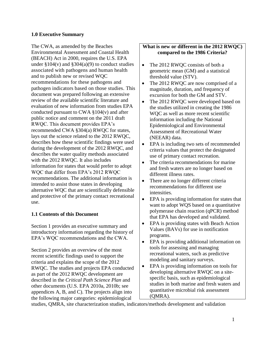## <span id="page-6-0"></span>**1.0 Executive Summary**

The CWA, as amended by the Beaches Environmental Assessment and Coastal Health (BEACH) Act in 2000, requires the U.S. EPA under  $$104(v)$  and  $$304(a)(9)$  to conduct studies associated with pathogens and human health and to publish new or revised WQC recommendations for these pathogens and pathogen indicators based on those studies. This document was prepared following an extensive review of the available scientific literature and evaluation of new information from studies EPA conducted pursuant to CWA  $\S 104(v)$  and after public notice and comment on the 2011 draft RWQC. This document provides EPA's recommended CWA §304(a) RWQC for states, lays out the science related to the 2012 RWQC, describes how these scientific findings were used during the development of the 2012 RWQC, and describes the water quality methods associated with the 2012 RWQC. It also includes information for states that would prefer to adopt WQC that differ from EPA's 2012 RWQC recommendations. The additional information is intended to assist those states in developing alternative WQC that are scientifically defensible and protective of the primary contact recreational use.

# <span id="page-6-1"></span>**1.1 Contents of this Document**

Section 1 provides an executive summary and introductory information regarding the history of EPA's WQC recommendations and the CWA.

Section 2 provides an overview of the most recent scientific findings used to support the criteria and explains the scope of the 2012 RWQC. The studies and projects EPA conducted as part of the 2012 RWQC development are described in the *Critical Path Science Plan* and other documents (U.S. EPA 2010a, 2010b; see appendices A, B, and C). The projects align into the following major categories: epidemiological

## **What is new or different in the 2012 RWQC) compared to the 1986 Criteria?**

- $\bullet$ The 2012 RWQC consists of both a geometric mean (GM) and a statistical threshold value (STV).
- $\bullet$ The 2012 RWQC are now comprised of a magnitude, duration, and frequency of excursion for both the GM and STV.
- $\bullet$ The 2012 RWQC were developed based on the studies utilized in creating the 1986 WQC as well as more recent scientific information including the National Epidemiological and Environmental Assessment of Recreational Water (NEEAR) data.
- EPA is including two sets of recommended criteria values that protect the designated use of primary contact recreation.
- $\bullet$ The criteria recommendations for marine and fresh waters are no longer based on different illness rates.
- $\bullet$ There are no longer different criteria recommendations for different use intensities.
- $\bullet$ EPA is providing information for states that want to adopt WQS based on a quantitative polymerase chain reaction (qPCR) method that EPA has developed and validated.
- $\bullet$ EPA is providing states with Beach Action Values (BAVs) for use in notification programs.
- $\bullet$ EPA is providing additional information on tools for assessing and managing recreational waters, such as predictive modeling and sanitary surveys.
- $\bullet$ EPA is providing information on tools for developing alternative RWQC on a sitespecific basis, such as epidemiological studies in both marine and fresh waters and quantitative microbial risk assessment (QMRA).

studies, QMRA, site characterization studies, indicators/methods development and validation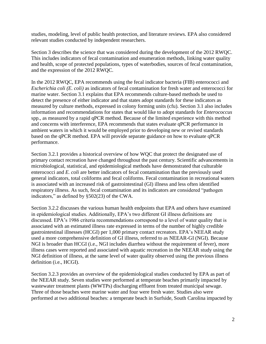studies, modeling, level of public health protection, and literature reviews. EPA also considered relevant studies conducted by independent researchers.

Section 3 describes the science that was considered during the development of the 2012 RWQC. This includes indicators of fecal contamination and enumeration methods, linking water quality and health, scope of protected populations, types of waterbodies, sources of fecal contamination, and the expression of the 2012 RWQC.

In the 2012 RWQC, EPA recommends using the fecal indicator bacteria (FIB) enterococci and *Escherichia coli (E. coli)* as indicators of fecal contamination for fresh water and enterococci for marine water. Section 3.1 explains that EPA recommends culture-based methods be used to detect the presence of either indicator and that states adopt standards for these indicators as measured by culture methods, expressed in colony forming units (cfu). Section 3.1 also includes information and recommendations for states that would like to adopt standards for *Enterococcus*  spp., as measured by a rapid qPCR method. Because of the limited experience with this method and concerns with interference, EPA recommends that states evaluate qPCR performance in ambient waters in which it would be employed prior to developing new or revised standards based on the qPCR method. EPA will provide separate guidance on how to evaluate qPCR performance.

Section 3.2.1 provides a historical overview of how WQC that protect the designated use of primary contact recreation have changed throughout the past century. Scientific advancements in microbiological, statistical, and epidemiological methods have demonstrated that culturable enterococci and *E. coli* are better indicators of fecal contamination than the previously used general indicators, total coliforms and fecal coliforms. Fecal contamination in recreational waters is associated with an increased risk of gastrointestinal (GI) illness and less often identified respiratory illness. As such, fecal contamination and its indicators are considered "pathogen indicators," as defined by §502(23) of the CWA.

Section 3.2.2 discusses the various human health endpoints that EPA and others have examined in epidemiological studies. Additionally, EPA's two different GI illness definitions are discussed. EPA's 1986 criteria recommendations correspond to a level of water quality that is associated with an estimated illness rate expressed in terms of the number of highly credible gastrointestinal illnesses (HCGI) per 1,000 primary contact recreators. EPA's NEEAR study used a more comprehensive definition of GI illness, referred to as NEEAR-GI (NGI). Because NGI is broader than HCGI (i.e., NGI includes diarrhea without the requirement of fever), more illness cases were reported and associated with aquatic recreation in the NEEAR study using the NGI definition of illness, at the same level of water quality observed using the previous illness definition (i.e., HCGI).

Section 3.2.3 provides an overview of the epidemiological studies conducted by EPA as part of the NEEAR study. Seven studies were performed at temperate beaches primarily impacted by wastewater treatment plants (WWTPs) discharging effluent from treated municipal sewage. Three of those beaches were marine water and four were fresh water. Studies also were performed at two additional beaches: a temperate beach in Surfside, South Carolina impacted by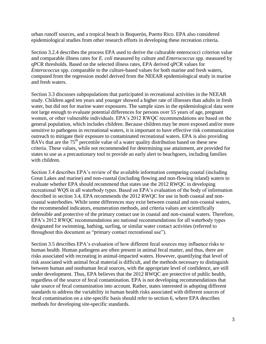urban runoff sources, and a tropical beach in Boquerón, Puerto Rico. EPA also considered epidemiological studies from other research efforts in developing these recreation criteria.

Section 3.2.4 describes the process EPA used to derive the culturable enterococci criterion value and comparable illness rates for *E. coli* measured by culture and *Enterococcus* spp. measured by qPCR thresholds. Based on the selected illness rates, EPA derived qPCR values for *Enterococcus* spp. comparable to the culture-based values for both marine and fresh waters, computed from the regression model derived from the NEEAR epidemiological study in marine and fresh waters.

Section 3.3 discusses subpopulations that participated in recreational activities in the NEEAR study. Children aged ten years and younger showed a higher rate of illnesses than adults in fresh water, but did not for marine water exposures. The sample sizes in the epidemiological data were not large enough to evaluate potential differences for persons over 55 years of age, pregnant women, or other vulnerable individuals. EPA's 2012 RWQC recommendations are based on the general population, which includes children. Because children may be more exposed and/or more sensitive to pathogens in recreational waters, it is important to have effective risk communication outreach to mitigate their exposure to contaminated recreational waters. EPA is also providing BAVs that are the 75<sup>th</sup> percentile value of a water quality distribution based on these new criteria. These values, while not recommended for determining use attainment, are provided for states to use as a precautionary tool to provide an early alert to beachgoers, including families with children.

Section 3.4 describes EPA's review of the available information comparing coastal (including Great Lakes and marine) and non-coastal (including flowing and non-flowing inland) waters to evaluate whether EPA should recommend that states use the 2012 RWQC in developing recreational WQS in all waterbody types. Based on EPA's evaluation of the body of information described in section 3.4, EPA recommends the 2012 RWQC for use in both coastal and noncoastal waterbodies. While some differences may exist between coastal and non-coastal waters, the recommended indicators, enumeration methods, and criteria values are scientifically defensible and protective of the primary contact use in coastal and non-coastal waters. Therefore, EPA's 2012 RWQC recommendations are national recommendations for all waterbody types designated for swimming, bathing, surfing, or similar water contact activities (referred to throughout this document as "primary contact recreational use").

Section 3.5 describes EPA's evaluation of how different fecal sources may influence risks to human health. Human pathogens are often present in animal fecal matter, and thus, there are risks associated with recreating in animal-impacted waters. However, quantifying that level of risk associated with animal fecal material is difficult, and the methods necessary to distinguish between human and nonhuman fecal sources, with the appropriate level of confidence, are still under development. Thus, EPA believes that the 2012 RWQC are protective of public health, regardless of the source of fecal contamination. EPA is not developing recommendations that take source of fecal contamination into account. Rather, states interested in adopting different standards to address the variability in human health risks associated with different sources of fecal contamination on a site-specific basis should refer to section 6, where EPA describes methods for developing site-specific standards.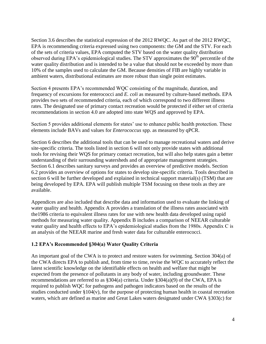Section 3.6 describes the statistical expression of the 2012 RWQC. As part of the 2012 RWQC, EPA is recommending criteria expressed using two components: the GM and the STV. For each of the sets of criteria values, EPA computed the STV based on the water quality distribution observed during EPA's epidemiological studies. The STV approximates the  $90<sup>th</sup>$  percentile of the water quality distribution and is intended to be a value that should not be exceeded by more than 10% of the samples used to calculate the GM. Because densities of FIB are highly variable in ambient waters, distributional estimates are more robust than single point estimates.

Section 4 presents EPA's recommended WQC consisting of the magnitude, duration, and frequency of excursions for enterococci and *E. coli* as measured by culture-based methods. EPA provides two sets of recommended criteria, each of which correspond to two different illness rates. The designated use of primary contact recreation would be protected if either set of criteria recommendations in section 4.0 are adopted into state WQS and approved by EPA.

Section 5 provides additional elements for states' use to enhance public health protection. These elements include BAVs and values for *Enterococcus* spp. as measured by qPCR.

Section 6 describes the additional tools that can be used to manage recreational waters and derive site-specific criteria. The tools listed in section 6 will not only provide states with additional tools for revising their WQS for primary contact recreation, but will also help states gain a better understanding of their surrounding watersheds and of appropriate management strategies. Section 6.1 describes sanitary surveys and provides an overview of predictive models. Section 6.2 provides an overview of options for states to develop site-specific criteria. Tools described in section 6 will be further developed and explained in technical support material(s) (TSM) that are being developed by EPA. EPA will publish multiple TSM focusing on these tools as they are available.

Appendices are also included that describe data and information used to evaluate the linking of water quality and health. Appendix A provides a translation of the illness rates associated with the1986 criteria to equivalent illness rates for use with new health data developed using rapid methods for measuring water quality. Appendix B includes a comparison of NEEAR culturable water quality and health effects to EPA's epidemiological studies from the 1980s. Appendix C is an analysis of the NEEAR marine and fresh water data for culturable enterococci.

#### <span id="page-9-0"></span>**1.2 EPA's Recommended §304(a) Water Quality Criteria**

An important goal of the CWA is to protect and restore waters for swimming. Section 304(a) of the CWA directs EPA to publish and, from time to time, revise the WQC to accurately reflect the latest scientific knowledge on the identifiable effects on health and welfare that might be expected from the presence of pollutants in any body of water, including groundwater. These recommendations are referred to as §304(a) criteria. Under §304(a)(9) of the CWA, EPA is required to publish WQC for pathogens and pathogen indicators based on the results of the studies conducted under  $\S 104(v)$ , for the purpose of protecting human health in coastal recreation waters, which are defined as marine and Great Lakes waters designated under CWA §303(c) for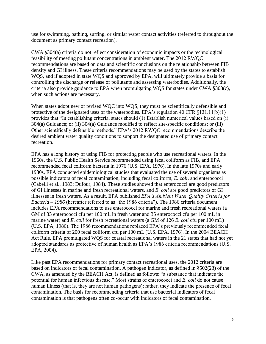use for swimming, bathing, surfing, or similar water contact activities (referred to throughout the document as primary contact recreation).

CWA §304(a) criteria do not reflect consideration of economic impacts or the technological feasibility of meeting pollutant concentrations in ambient water. The 2012 RWQC recommendations are based on data and scientific conclusions on the relationship between FIB density and GI illness. These criteria recommendations may be used by the states to establish WQS, and if adopted in state WQS and approved by EPA, will ultimately provide a basis for controlling the discharge or release of pollutants and assessing waterbodies. Additionally, the criteria also provide guidance to EPA when promulgating WQS for states under CWA §303(c), when such actions are necessary.

When states adopt new or revised WQC into WQS, they must be scientifically defensible and protective of the designated uses of the waterbodies. EPA's regulation 40 CFR §131.11(b)(1) provides that "In establishing criteria, states should (1) Establish numerical values based on (i) 304(a) Guidance; or (ii) 304(a) Guidance modified to reflect site-specific conditions; or (iii) Other scientifically defensible methods." EPA's 2012 RWQC recommendations describe the desired ambient water quality conditions to support the designated use of primary contact recreation.

EPA has a long history of using FIB for protecting people who use recreational waters. In the 1960s, the U.S. Public Health Service recommended using fecal coliform as FIB, and EPA recommended fecal coliform bacteria in 1976 (U.S. EPA, 1976). In the late 1970s and early 1980s, EPA conducted epidemiological studies that evaluated the use of several organisms as possible indicators of fecal contamination, including fecal coliform, *E. coli*, and enterococci (Cabelli et al., 1983; Dufour, 1984). These studies showed that enterococci are good predictors of GI illnesses in marine and fresh recreational waters, and *E. coli* are good predictors of GI illnesses in fresh waters. As a result, EPA published *EPA's Ambient Water Quality Criteria for Bacteria – 1986* (hereafter referred to as "the 1986 criteria"). The 1986 criteria document includes EPA recommendations to use enterococci for marine and fresh recreational waters (a GM of 33 enterococci cfu per 100 mL in fresh water and 35 enterococci cfu per 100 mL in marine water) and *E. coli* for fresh recreational waters (a GM of 126 *E. coli* cfu per 100 mL) (U.S. EPA, 1986). The 1986 recommendations replaced EPA's previously recommended fecal coliform criteria of 200 fecal coliform cfu per 100 mL (U.S. EPA, 1976). In the 2004 BEACH Act Rule, EPA promulgated WQS for coastal recreational waters in the 21 states that had not yet adopted standards as protective of human health as EPA's 1986 criteria recommendations (U.S. EPA, 2004).

Like past EPA recommendations for primary contact recreational uses, the 2012 criteria are based on indicators of fecal contamination. A pathogen indicator, as defined in §502(23) of the CWA, as amended by the BEACH Act, is defined as follows: "a substance that indicates the potential for human infectious disease." Most strains of enterococci and *E. coli* do not cause human illness (that is, they are not human pathogens); rather, they indicate the presence of fecal contamination. The basis for recommending criteria that use bacterial indicators of fecal contamination is that pathogens often co-occur with indicators of fecal contamination.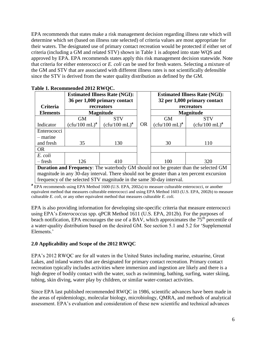EPA recommends that states make a risk management decision regarding illness rate which will determine which set (based on illness rate selected) of criteria values are most appropriate for their waters. The designated use of primary contact recreation would be protected if either set of criteria (including a GM and related STV) shown in Table 1 is adopted into state WQS and approved by EPA. EPA recommends states apply this risk management decision statewide. Note that criteria for either enterococci or *E. coli* can be used for fresh waters. Selecting a mixture of the GM and STV that are associated with different illness rates is not scientifically defensible since the STV is derived from the water quality distribution as defined by the GM.

|                                                                                            | <b>Estimated Illness Rate (NGI):</b><br>36 per 1,000 primary contact |                                           |           | <b>Estimated Illness Rate (NGI):</b><br>32 per 1,000 primary contact |                  |  |
|--------------------------------------------------------------------------------------------|----------------------------------------------------------------------|-------------------------------------------|-----------|----------------------------------------------------------------------|------------------|--|
| <b>Criteria</b>                                                                            | recreators                                                           |                                           |           |                                                                      | recreators       |  |
| <b>Elements</b>                                                                            | <b>Magnitude</b>                                                     |                                           |           |                                                                      | <b>Magnitude</b> |  |
|                                                                                            | <b>GM</b>                                                            | <b>STV</b>                                |           | <b>GM</b>                                                            | <b>STV</b>       |  |
| Indicator                                                                                  | $(cfu/100 mL)^a$                                                     | $(c \text{fu}/100 \text{ mL})^{\text{a}}$ | <b>OR</b> | $(c \text{fu}/100 \text{ mL})^{\text{a}}$                            | $(cfu/100 mL)^a$ |  |
| Enterococci                                                                                |                                                                      |                                           |           |                                                                      |                  |  |
| – marine                                                                                   |                                                                      |                                           |           |                                                                      |                  |  |
| and fresh                                                                                  | 35                                                                   | 130                                       |           | 30                                                                   | 110              |  |
| <b>OR</b>                                                                                  |                                                                      |                                           |           |                                                                      |                  |  |
| E. coli                                                                                    |                                                                      |                                           |           |                                                                      |                  |  |
| – fresh                                                                                    | 126                                                                  | 410                                       |           | 100                                                                  | 320              |  |
| <b>Duration and Frequency:</b> The waterbody GM should not be greater than the selected GM |                                                                      |                                           |           |                                                                      |                  |  |
| magnitude in any 30-day interval. There should not be greater than a ten percent excursion |                                                                      |                                           |           |                                                                      |                  |  |

**a** EPA recommends using EPA Method 1600 (U.S. EPA, 2002a) to measure culturable enterococci, or another equivalent method that measures culturable enterococci and using EPA Method 1603 (U.S. EPA, 2002b) to measure culturable *E. coli*, or any other equivalent method that measures culturable *E. coli.* 

frequency of the selected STV magnitude in the same 30-day interval.

EPA is also providing information for developing site-specific criteria that measure enterococci using EPA's *Enterococcus* spp. qPCR Method 1611 (U.S. EPA, 2012b). For the purposes of beach notification, EPA encourages the use of a BAV, which approximates the  $75<sup>th</sup>$  percentile of a water-quality distribution based on the desired GM. See section 5.1 and 5.2 for 'Supplemental Elements.'

#### <span id="page-11-0"></span>**2.0 Applicability and Scope of the 2012 RWQC**

EPA's 2012 RWQC are for all waters in the United States including marine, estuarine, Great Lakes, and inland waters that are designated for primary contact recreation. Primary contact recreation typically includes activities where immersion and ingestion are likely and there is a high degree of bodily contact with the water, such as swimming, bathing, surfing, water skiing, tubing, skin diving, water play by children, or similar water-contact activities.

Since EPA last published recommended RWQC in 1986, scientific advances have been made in the areas of epidemiology, molecular biology, microbiology, QMRA, and methods of analytical assessment. EPA's evaluation and consideration of these new scientific and technical advances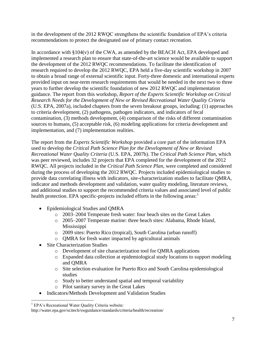in the development of the 2012 RWQC strengthens the scientific foundation of EPA's criteria recommendations to protect the designated use of primary contact recreation.

In accordance with §104(v) of the CWA, as amended by the BEACH Act, EPA developed and implemented a research plan to ensure that state-of-the-art science would be available to support the development of the 2012 RWQC recommendations. To facilitate the identification of research required to develop the 2012 RWQC, EPA held a five-day scientific workshop in 2007 to obtain a broad range of external scientific input. Forty-three domestic and international experts provided input on near-term research requirements that would be needed in the next two to three years to further develop the scientific foundation of new 2012 RWQC and implementation guidance. The report from this workshop, *Report of the Experts Scientific Workshop on Critical Research Needs for the Development of New or Revised Recreational Water Quality Criteria*  (U.S. EPA, 2007a), included chapters from the seven breakout groups, including: (1) approaches to criteria development, (2) pathogens, pathogen indicators, and indicators of fecal contamination, (3) methods development, (4) comparison of the risks of different contamination sources to humans, (5) acceptable risk, (6) modeling applications for criteria development and implementation, and (7) implementation realities.

The report from the *Experts Scientific Workshop* provided a core part of the information EPA used to develop the *Critical Path Science Plan for the Development of New or Revised Recreational Water Quality Criteria* (U.S. EPA, 2007b). The *Critical Path Science Plan*, which was peer reviewed, includes 32 projects that EPA completed for the development of the 2012 RWQC. All projects included in the *Critical Path Science Plan*, were completed and considered during the process of developing the 2012 RWQC. Projects included epidemiological studies to provide data correlating illness with indicators, site-characterization studies to facilitate QMRA, indicator and methods development and validation, water quality modeling, literature reviews, and additional studies to support the recommended criteria values and associated level of public health protection. EPA specific-projects included efforts in the following areas:

- Epidemiological Studies and QMRA
	- o 2003–2004 Temperate fresh water: four beach sites on the Great Lakes
	- o 2005–2007 Temperate marine: three beach sites: Alabama, Rhode Island, Mississippi
	- o 2009 sites: Puerto Rico (tropical), South Carolina (urban runoff)
	- o QMRA for fresh water impacted by agricultural animals
- Site Characterization Studies
	- o Development of site characterization tool for QMRA applications
	- o Expanded data collection at epidemiological study locations to support modeling and QMRA
	- o Site selection evaluation for Puerto Rico and South Carolina epidemiological studies
	- o Study to better understand spatial and temporal variability
	- o Pilot sanitary survey in the Great Lakes
- $\bullet$ Indicators/Methods Development and Validation Studies

 $\overline{\phantom{a}}$ <sup>1</sup> EPA's Recreational Water Quality Criteria website:

http://water.epa.gov/scitech/swguidance/standards/criteria/health/recreation/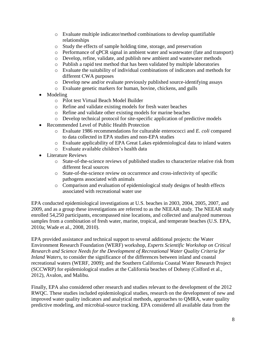- o Evaluate multiple indicator/method combinations to develop quantifiable relationships
- o Study the effects of sample holding time, storage, and preservation
- o Performance of qPCR signal in ambient water and wastewater (fate and transport)
- o Develop, refine, validate, and publish new ambient and wastewater methods
- o Publish a rapid test method that has been validated by multiple laboratories
- o Evaluate the suitability of individual combinations of indicators and methods for different CWA purposes
- o Develop new and/or evaluate previously published source-identifying assays
- o Evaluate genetic markers for human, bovine, chickens, and gulls
- $\bullet$ Modeling
	- o Pilot test Virtual Beach Model Builder
	- o Refine and validate existing models for fresh water beaches
	- o Refine and validate other existing models for marine beaches
	- o Develop technical protocol for site-specific application of predictive models
- Recommended Level of Public Health Protection
	- o Evaluate 1986 recommendations for culturable enterococci and *E. coli* compared to data collected in EPA studies and non-EPA studies
	- o Evaluate applicability of EPA Great Lakes epidemiological data to inland waters
	- o Evaluate available children's health data
- Literature Reviews
	- o State-of-the-science reviews of published studies to characterize relative risk from different fecal sources
	- o State-of-the-science review on occurrence and cross-infectivity of specific pathogens associated with animals
	- o Comparison and evaluation of epidemiological study designs of health effects associated with recreational water use

EPA conducted epidemiological investigations at U.S. beaches in 2003, 2004, 2005, 2007, and 2009, and as a group these investigations are referred to as the NEEAR study. The NEEAR study enrolled 54,250 participants, encompassed nine locations, and collected and analyzed numerous samples from a combination of fresh water, marine, tropical, and temperate beaches (U.S. EPA, 2010a; Wade et al., 2008, 2010).

EPA provided assistance and technical support to several additional projects: the Water Environment Research Foundation (WERF) workshop, *Experts Scientific Workshop on Critical Research and Science Needs for the Development of Recreational Water Quality Criteria for Inland Waters*, to consider the significance of the differences between inland and coastal recreational waters (WERF, 2009); and the Southern California Coastal Water Research Project (SCCWRP) for epidemiological studies at the California beaches of Doheny (Colford et al., 2012), Avalon, and Malibu.

Finally, EPA also considered other research and studies relevant to the development of the 2012 RWQC. These studies included epidemiological studies, research on the development of new and improved water quality indicators and analytical methods, approaches to QMRA, water quality predictive modeling, and microbial-source tracking. EPA considered all available data from the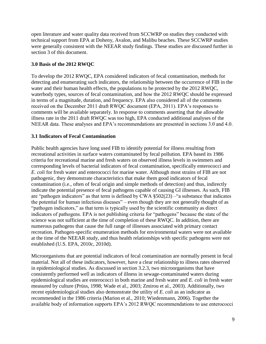open literature and water quality data received from SCCWRP on studies they conducted with technical support from EPA at Doheny, Avalon, and Malibu beaches. These SCCWRP studies were generally consistent with the NEEAR study findings. These studies are discussed further in section 3 of this document.

## <span id="page-14-0"></span>**3.0 Basis of the 2012 RWQC**

To develop the 2012 RWQC, EPA considered indicators of fecal contamination, methods for detecting and enumerating such indicators, the relationship between the occurrence of FIB in the water and their human health effects, the populations to be protected by the 2012 RWQC, waterbody types, sources of fecal contamination, and how the 2012 RWQC should be expressed in terms of a magnitude, duration, and frequency. EPA also considered all of the comments received on the December 2011 draft RWQC document (EPA, 2011). EPA's responses to comments will be available separately. In response to comments asserting that the allowable illness rate in the 2011 draft RWQC was too high, EPA conducted additional analyses of the NEEAR data. These analyses and EPA's recommendations are presented in sections 3.0 and 4.0.

#### <span id="page-14-1"></span>**3.1 Indicators of Fecal Contamination**

Public health agencies have long used FIB to identify potential for illness resulting from recreational activities in surface waters contaminated by fecal pollution. EPA based its 1986 criteria for recreational marine and fresh waters on observed illness levels in swimmers and corresponding levels of bacterial indicators of fecal contamination, specifically enterococci and *E. coli* for fresh water and enterococci for marine water. Although most strains of FIB are not pathogenic, they demonstrate characteristics that make them good indicators of fecal contamination (i.e., often of fecal origin and simple methods of detection) and thus, indirectly indicate the potential presence of fecal pathogens capable of causing GI illnesses. As such, FIB are "pathogen indicators" as that term is defined by CWA §502(23) –"a substance that indicates the potential for human infectious diseases" – even though they are not generally thought of as "pathogen indicators," as that term is typically used by the scientific community as direct indicators of pathogens. EPA is not publishing criteria for "pathogens" because the state of the science was not sufficient at the time of completion of these RWQC. In addition, there are numerous pathogens that cause the full range of illnesses associated with primary contact recreation. Pathogen-specific enumeration methods for environmental waters were not available at the time of the NEEAR study, and thus health relationships with specific pathogens were not established (U.S. EPA, 2010c, 2010d).

Microorganisms that are potential indicators of fecal contamination are normally present in fecal material. Not all of these indicators, however, have a clear relationship to illness rates observed in epidemiological studies. As discussed in section 3.2.3, two microorganisms that have consistently performed well as indicators of illness in sewage-contaminated waters during epidemiological studies are enterococci in both marine and fresh water and *E. coli* in fresh water measured by culture (Prüss, 1998; Wade et al., 2003; Zmirou et al., 2003). Additionally, two recent epidemiological studies also demonstrate the utility of *E. coli* as an indicator as recommended in the 1986 criteria (Marion et al., 2010; Wiedenmann, 2006). Together the available body of information supports EPA's 2012 RWQC recommendations to use enterococci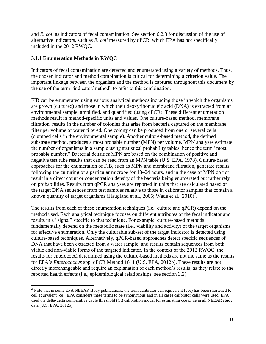and *E. coli* as indicators of fecal contamination. See section 6.2.3 for discussion of the use of alternative indicators, such as *E. coli* measured by qPCR, which EPA has not specifically included in the 2012 RWQC.

## <span id="page-15-0"></span>**3.1.1 Enumeration Methods in RWQC**

Indicators of fecal contamination are detected and enumerated using a variety of methods. Thus, the chosen indicator and method combination is critical for determining a criterion value. The important linkage between the organism and the method is captured throughout this document by the use of the term "indicator/method" to refer to this combination.

FIB can be enumerated using various analytical methods including those in which the organisms are grown (cultured) and those in which their deoxyribonucleic acid (DNA) is extracted from an environmental sample, amplified, and quantified (using qPCR). These different enumeration methods result in method-specific units and values. One culture-based method, membrane filtration, results in the number of colonies that arise from bacteria captured on the membrane filter per volume of water filtered. One colony can be produced from one or several cells (clumped cells in the environmental sample). Another culture-based method, the defined substrate method, produces a most probable number (MPN) per volume. MPN analyses estimate the number of organisms in a sample using statistical probability tables, hence the term "most probable number." Bacterial densities MPN are based on the combination of positive and negative test tube results that can be read from an MPN table (U.S. EPA, 1978). Culture-based approaches for the enumeration of FIB, such as MPN and membrane filtration, generate results following the culturing of a particular microbe for 18–24 hours, and in the case of MPN do not result in a direct count or concentration density of the bacteria being enumerated but rather rely on probabilities. Results from qPCR analyses are reported in units that are calculated based on the target DNA sequences from test samples relative to those in calibrator samples that contain a known quantity of target organisms (Haugland et al., 2005; Wade et al., 2010)<sup>2</sup>.

The results from each of these enumeration techniques (i.e., culture and qPCR) depend on the method used. Each analytical technique focuses on different attributes of the fecal indicator and results in a "signal" specific to that technique. For example, culture-based methods fundamentally depend on the metabolic state (i.e., viability and activity) of the target organisms for effective enumeration. Only the culturable sub-set of the target indicator is detected using culture-based techniques. Alternatively, qPCR-based approaches detect specific sequences of DNA that have been extracted from a water sample, and results contain sequences from both viable and non-viable forms of the targeted indicator. In the context of the 2012 RWQC, the results for enterococci determined using the culture-based methods are not the same as the results for EPA's *Enterococcus* spp. qPCR Method 1611 (U.S. EPA, 2012b). These results are not directly interchangeable and require an explanation of each method's results, as they relate to the reported health effects (i.e., epidemiological relationships; see section 3.2).

 $\overline{a}$  $2^{2}$  Note that in some EPA NEEAR study publications, the term calibrator cell equivalent (cce) has been shortened to cell equivalent (ce). EPA considers these terms to be synonymous and in all cases calibrator cells were used. EPA used the delta-delta comparative cycle threshold (Ct) calibration model for estimating cce or ce in all NEEAR study data (U.S. EPA, 2012b).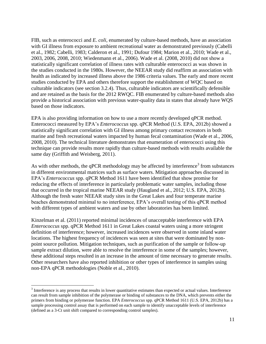FIB, such as enterococci and *E. coli*, enumerated by culture-based methods, have an association with GI illness from exposure to ambient recreational water as demonstrated previously (Cabelli et al., 1982; Cabelli, 1983; Calderon et al., 1991; Dufour 1984; Marion et al., 2010; Wade et al., 2003, 2006, 2008, 2010; Wiedenmann et al., 2006). Wade et al. (2008, 2010) did not show a statistically significant correlation of illness rates with culturable enterococci as was shown in the studies conducted in the 1980s. However, the NEEAR study did reaffirm an association with health as indicated by increased illness above the 1986 criteria values. The early and more recent studies conducted by EPA and others therefore support the establishment of WQC based on culturable indicators (see section 3.2.4). Thus, culturable indicators are scientifically defensible and are retained as the basis for the 2012 RWQC. FIB enumerated by culture-based methods also provide a historical association with previous water-quality data in states that already have WQS based on those indicators.

EPA is also providing information on how to use a more recently developed qPCR method. Enterococci measured by EPA's *Enterococcus* spp. qPCR Method (U.S. EPA, 2012b) showed a statistically significant correlation with GI illness among primary contact recreators in both marine and fresh recreational waters impacted by human fecal contamination (Wade et al., 2006, 2008, 2010). The technical literature demonstrates that enumeration of enterococci using this technique can provide results more rapidly than culture-based methods with results available the same day (Griffith and Weisberg, 2011).

As with other methods, the qPCR methodology may be affected by interference<sup>3</sup> from substances in different environmental matrices such as surface waters. Mitigation approaches discussed in EPA's *Enterococcus* spp. qPCR Method 1611 have been identified that show promise for reducing the effects of interference in particularly problematic water samples, including those that occurred in the tropical marine NEEAR study (Haugland et al., 2012; U.S. EPA, 2012b). Although the fresh water NEEAR study sites in the Great Lakes and four temperate marine beaches demonstrated minimal to no interference, EPA's overall testing of this qPCR method with different types of ambient waters and use by other laboratories has been limited.

Kinzelman et al. (2011) reported minimal incidences of unacceptable interference with EPA *Enterococcus* spp. qPCR Method 1611 in Great Lakes coastal waters using a more stringent definition of interference; however, increased incidences were observed in some inland water locations. The highest frequency of incidences was seen at sites that were dominated by nonpoint source pollution. Mitigation techniques, such as purification of the sample or follow-up sample extract dilution, were able to resolve the interference in some of the samples; however, these additional steps resulted in an increase in the amount of time necessary to generate results. Other researchers have also reported inhibition or other types of interference in samples using non-EPA qPCR methodologies (Noble et al., 2010).

 $\overline{a}$ 

 $3$  Interference is any process that results in lower quantitative estimates than expected or actual values. Interference can result from sample inhibition of the polymerase or binding of substances to the DNA, which prevents either the primers from binding or polymerase function. EPA *Enterococcus* spp. qPCR Method 1611 (U.S. EPA, 2012b) has a sample processing control assay that is performed on each sample to identify unacceptable levels of interference (defined as a 3-Ct unit shift compared to corresponding control samples).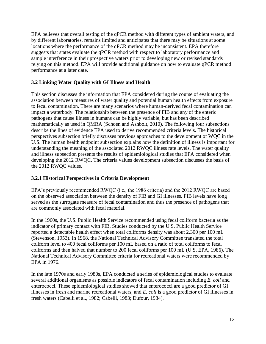EPA believes that overall testing of the qPCR method with different types of ambient waters, and by different laboratories, remains limited and anticipates that there may be situations at some locations where the performance of the qPCR method may be inconsistent. EPA therefore suggests that states evaluate the qPCR method with respect to laboratory performance and sample interference in their prospective waters prior to developing new or revised standards relying on this method. EPA will provide additional guidance on how to evaluate qPCR method performance at a later date.

# <span id="page-17-0"></span>**3.2 Linking Water Quality with GI Illness and Health**

This section discusses the information that EPA considered during the course of evaluating the association between measures of water quality and potential human health effects from exposure to fecal contamination. There are many scenarios where human-derived fecal contamination can impact a waterbody. The relationship between the presence of FIB and any of the enteric pathogens that cause illness in humans can be highly variable, but has been described mathematically as used in QMRA (Schoen and Ashbolt, 2010). The following four subsections describe the lines of evidence EPA used to derive recommended criteria levels. The historical perspectives subsection briefly discusses previous approaches to the development of WQC in the U.S. The human health endpoint subsection explains how the definition of illness is important for understanding the meaning of the associated 2012 RWQC illness rate levels. The water quality and illness subsection presents the results of epidemiological studies that EPA considered when developing the 2012 RWQC. The criteria values development subsection discusses the basis of the 2012 RWQC values.

# <span id="page-17-1"></span>**3.2.1 Historical Perspectives in Criteria Development**

EPA's previously recommended RWQC (i.e., the 1986 criteria) and the 2012 RWQC are based on the observed association between the density of FIB and GI illnesses. FIB levels have long served as the surrogate measure of fecal contamination and thus the presence of pathogens that are commonly associated with fecal material.

In the 1960s, the U.S. Public Health Service recommended using fecal coliform bacteria as the indicator of primary contact with FIB. Studies conducted by the U.S. Public Health Service reported a detectable health effect when total coliforms density was about 2,300 per 100 mL (Stevenson, 1953). In 1968, the National Technical Advisory Committee translated the total coliform level to 400 fecal coliforms per 100 mL based on a ratio of total coliforms to fecal coliforms and then halved that number to 200 fecal coliforms per 100 mL (U.S. EPA, 1986). The National Technical Advisory Committee criteria for recreational waters were recommended by EPA in 1976.

In the late 1970s and early 1980s, EPA conducted a series of epidemiological studies to evaluate several additional organisms as possible indicators of fecal contamination including *E. coli* and enterococci. These epidemiological studies showed that enterococci are a good predictor of GI illnesses in fresh and marine recreational waters, and *E. coli* is a good predictor of GI illnesses in fresh waters (Cabelli et al., 1982; Cabelli, 1983; Dufour, 1984).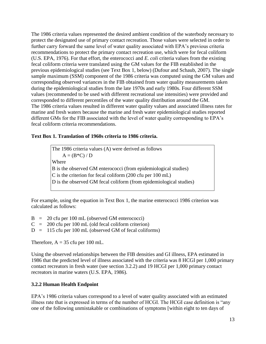The 1986 criteria values represented the desired ambient condition of the waterbody necessary to protect the designated use of primary contact recreation. Those values were selected in order to further carry forward the same level of water quality associated with EPA's previous criteria recommendations to protect the primary contact recreation use, which were for fecal coliform (U.S. EPA, 1976). For that effort, the enterococci and *E. coli* criteria values from the existing fecal coliform criteria were translated using the GM values for the FIB established in the previous epidemiological studies (see Text Box 1, below) (Dufour and Schaub, 2007). The single sample maximum (SSM) component of the 1986 criteria was computed using the GM values and corresponding observed variances in the FIB obtained from water quality measurements taken during the epidemiological studies from the late 1970s and early 1980s. Four different SSM values (recommended to be used with different recreational use intensities) were provided and corresponded to different percentiles of the water quality distribution around the GM. The 1986 criteria values resulted in different water quality values and associated illness rates for marine and fresh waters because the marine and fresh water epidemiological studies reported different GMs for the FIB associated with the level of water quality corresponding to EPA's fecal coliform criteria recommendations.

#### **Text Box 1. Translation of 1960s criteria to 1986 criteria.**

The 1986 criteria values (A) were derived as follows  $A = (B*C) / D$ Where B is the observed GM enterococci (from epidemiological studies) C is the criterion for fecal coliform (200 cfu per 100 mL) D is the observed GM fecal coliform (from epidemiological studies)

For example, using the equation in Text Box 1, the marine enterococci 1986 criterion was calculated as follows:

- $B = 20$  cfu per 100 mL (observed GM enterococci)  $C = 200$  cfu per 100 mL (old fecal coliform criterion)
- $D = 115$  cfu per 100 mL (observed GM of fecal coliforms)

Therefore,  $A = 35$  cfu per 100 mL.

Using the observed relationships between the FIB densities and GI illness, EPA estimated in 1986 that the predicted level of illness associated with the criteria was 8 HCGI per 1,000 primary contact recreators in fresh water (see section 3.2.2) and 19 HCGI per 1,000 primary contact recreators in marine waters (U.S. EPA, 1986).

# <span id="page-18-0"></span>**3.2.2 Human Health Endpoint**

EPA's 1986 criteria values correspond to a level of water quality associated with an estimated illness rate that is expressed in terms of the number of HCGI. The HCGI case definition is "any one of the following unmistakable or combinations of symptoms [within eight to ten days of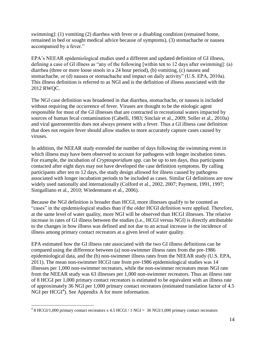swimming]: (1) vomiting (2) diarrhea with fever or a disabling condition (remained home, remained in bed or sought medical advice because of symptoms), (3) stomachache or nausea accompanied by a fever."

EPA's NEEAR epidemiological studies used a different and updated definition of GI illness, defining a case of GI illness as "any of the following [within ten to 12 days after swimming]: (a) diarrhea (three or more loose stools in a 24 hour period), (b) vomiting, (c) nausea and stomachache, or (d) nausea or stomachache and impact on daily activity" (U.S. EPA, 2010a). This illness definition is referred to as NGI and is the definition of illness associated with the 2012 RWQC.

The NGI case definition was broadened in that diarrhea, stomachache, or nausea is included without requiring the occurrence of fever. Viruses are thought to be the etiologic agent responsible for most of the GI illnesses that are contracted in recreational waters impacted by sources of human fecal contamination (Cabelli, 1983; Sinclair et al., 2009; Soller et al., 2010a) and viral gastroenteritis does not always present with a fever. Thus a GI illness case definition that does not require fever should allow studies to more accurately capture cases caused by viruses.

In addition, the NEEAR study extended the number of days following the swimming event in which illness may have been observed to account for pathogens with longer incubation times. For example, the incubation of *Cryptosporidium* spp. can be up to ten days, thus participants contacted after eight days may not have developed the case definition symptoms. By calling participants after ten to 12 days, the study design allowed for illness caused by pathogens associated with longer incubation periods to be included as cases. Similar GI definitions are now widely used nationally and internationally (Colford et al., 2002, 2007; Payment, 1991, 1997; Sinigalliano et al., 2010; Wiedenmann et al., 2006).

Because the NGI definition is broader than HCGI, more illnesses qualify to be counted as "cases" in the epidemiological studies than if the older HCGI definition were applied. Therefore, at the same level of water quality, more NGI will be observed than HCGI illnesses. The relative increase in rates of GI illness between the studies (i.e., HCGI versus NGI) is directly attributable to the changes in how illness was defined and not due to an actual increase in the incidence of illness among primary contact recreators at a given level of water quality.

EPA estimated how the GI illness rate associated with the two GI illness definitions can be compared using the difference between (a) non-swimmer illness rates from the pre-1986 epidemiological data, and the (b) non-swimmer illness rates from the NEEAR study (U.S. EPA, 2011). The mean non-swimmer HCGI rate from pre-1986 epidemiological studies was 14 illnesses per 1,000 non-swimmer recreators, while the non-swimmer recreators mean NGI rate from the NEEAR study was 63 illnesses per 1,000 non-swimmer recreators. Thus an illness rate of 8 HCGI per 1,000 primary contact recreators is estimated to be equivalent with an illness rate of approximately 36 NGI per 1,000 primary contact recreators (estimated translation factor of 4.5 NGI per HCGI<sup>4</sup>). See Appendix A for more information.

 4 8 HCGI/1,000 primary contact recreators x 4.5 HCGI / 1 NGI = 36 NGI/1,000 primary contact recreators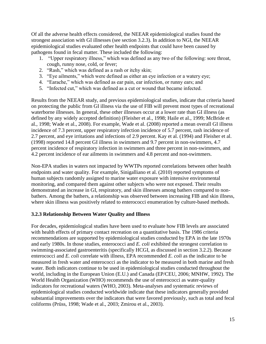Of all the adverse health effects considered, the NEEAR epidemiological studies found the strongest association with GI illnesses (see section 3.2.3). In addition to NGI, the NEEAR epidemiological studies evaluated other health endpoints that could have been caused by pathogens found in fecal matter. These included the following:

- 1. "Upper respiratory illness," which was defined as any two of the following: sore throat, cough, runny nose, cold, or fever;
- 2. "Rash," which was defined as a rash or itchy skin;
- 3. "Eye ailments," which were defined as either an eye infection or a watery eye;
- 4. "Earache," which was defined as ear pain, ear infection, or runny ears; and
- 5. "Infected cut," which was defined as a cut or wound that became infected.

Results from the NEEAR study, and previous epidemiological studies, indicate that criteria based on protecting the public from GI illness via the use of FIB will prevent most types of recreational waterborne illnesses. In general, these other illnesses occur at a lower rate than GI illness (as defined by any widely accepted definition) (Fleisher et al., 1998; Haile et al., 1999; McBride et al., 1998; Wade et al., 2008). For example, Wade et al. (2008) reported a mean overall GI illness incidence of 7.3 percent, upper respiratory infection incidence of 5.7 percent, rash incidence of 2.7 percent, and eye irritations and infections of 2.9 percent. Kay et al. (1994) and Fleisher et al. (1998) reported 14.8 percent GI illness in swimmers and 9.7 percent in non-swimmers, 4.7 percent incidence of respiratory infection in swimmers and three percent in non-swimmers, and 4.2 percent incidence of ear ailments in swimmers and 4.8 percent and non-swimmers.

Non-EPA studies in waters not impacted by WWTPs reported correlations between other health endpoints and water quality. For example, Sinigalliano et al. (2010) reported symptoms of human subjects randomly assigned to marine water exposure with intensive environmental monitoring, and compared them against other subjects who were not exposed. Their results demonstrated an increase in GI, respiratory, and skin illnesses among bathers compared to nonbathers. Among the bathers, a relationship was observed between increasing FIB and skin illness, where skin illness was positively related to enterococci enumeration by culture-based methods.

# <span id="page-20-0"></span>**3.2.3 Relationship Between Water Quality and Illness**

For decades, epidemiological studies have been used to evaluate how FIB levels are associated with health effects of primary contact recreation on a quantitative basis. The 1986 criteria recommendations are supported by epidemiological studies conducted by EPA in the late 1970s and early 1980s. In those studies, enterococci and *E. coli* exhibited the strongest correlation to swimming-associated gastroenteritis (specifically HCGI, as discussed in section 3.2.2). Because enterococci and *E. coli* correlate with illness, EPA recommended *E. coli* as the indicator to be measured in fresh water and enterococci as the indicator to be measured in both marine and fresh water. Both indicators continue to be used in epidemiological studies conducted throughout the world, including in the European Union (E.U.) and Canada (EP/CEU, 2006; MNHW, 1992). The World Health Organization (WHO) recommends the use of enterococci as water-quality indicators for recreational waters (WHO, 2003). Meta-analyses and systematic reviews of epidemiological studies conducted worldwide indicate that these indicators generally provided substantial improvements over the indicators that were favored previously, such as total and fecal coliforms (Prüss, 1998; Wade et al., 2003; Zmirou et al., 2003).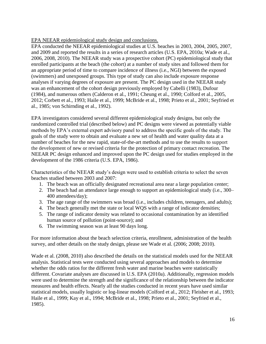EPA NEEAR epidemiological study design and conclusions.

EPA conducted the NEEAR epidemiological studies at U.S. beaches in 2003, 2004, 2005, 2007, and 2009 and reported the results in a series of research articles (U.S. EPA, 2010a; Wade et al., 2006, 2008, 2010). The NEEAR study was a prospective cohort (PC) epidemiological study that enrolled participants at the beach (the cohort) at a number of study sites and followed them for an appropriate period of time to compare incidence of illness (i.e., NGI) between the exposed (swimmers) and unexposed groups. This type of study can also include exposure response analyses if varying degrees of exposure are present. The PC design used in the NEEAR study was an enhancement of the cohort design previously employed by Cabelli (1983), Dufour (1984), and numerous others (Calderon et al., 1991; Cheung et al., 1990; Colford et al., 2005, 2012; Corbett et al., 1993; Haile et al., 1999; McBride et al., 1998; Prieto et al., 2001; Seyfried et al., 1985; von Schirnding et al., 1992).

EPA investigators considered several different epidemiological study designs, but only the randomized controlled trial (described below) and PC designs were viewed as potentially viable methods by EPA's external expert advisory panel to address the specific goals of the study. The goals of the study were to obtain and evaluate a new set of health and water quality data at a number of beaches for the new rapid, state-of-the-art methods and to use the results to support the development of new or revised criteria for the protection of primary contact recreation. The NEEAR PC design enhanced and improved upon the PC design used for studies employed in the development of the 1986 criteria (U.S. EPA, 1986).

Characteristics of the NEEAR study's design were used to establish criteria to select the seven beaches studied between 2003 and 2007:

- 1. The beach was an officially designated recreational area near a large population center;
- 2. The beach had an attendance large enough to support an epidemiological study (i.e., 300– 400 attendees/day);
- 3. The age range of the swimmers was broad (i.e., includes children, teenagers, and adults);
- 4. The beach generally met the state or local WQS with a range of indicator densities;
- 5. The range of indicator density was related to occasional contamination by an identified human source of pollution (point-source); and
- 6. The swimming season was at least 90 days long.

For more information about the beach selection criteria, enrollment, administration of the health survey, and other details on the study design, please see Wade et al. (2006; 2008; 2010).

Wade et al. (2008, 2010) also described the details on the statistical models used for the NEEAR analysis. Statistical tests were conducted using several approaches and models to determine whether the odds ratios for the different fresh water and marine beaches were statistically different. Covariate analyses are discussed in U.S. EPA (2010a). Additionally, regression models were used to determine the strength and the significance of the relationship between the indicator measures and health effects. Nearly all the studies conducted in recent years have used similar statistical models, usually logistic or log-linear models (Colford et al., 2012; Fleisher et al., 1993; Haile et al., 1999; Kay et al., 1994; McBride et al., 1998; Prieto et al., 2001; Seyfried et al., 1985).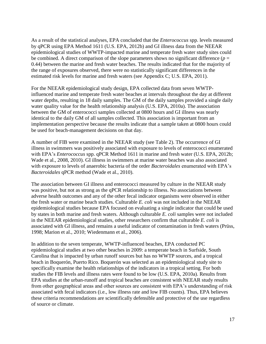As a result of the statistical analyses, EPA concluded that the *Enterococcus* spp. levels measured by qPCR using EPA Method 1611 (U.S. EPA, 2012b) and GI illness data from the NEEAR epidemiological studies of WWTP-impacted marine and temperate fresh water study sites could be combined. A direct comparison of the slope parameters shows no significant difference ( $p =$ 0.44) between the marine and fresh water beaches. The results indicated that for the majority of the range of exposures observed, there were no statistically significant differences in the estimated risk levels for marine and fresh waters (see Appendix C; U.S. EPA, 2011).

For the NEEAR epidemiological study design, EPA collected data from seven WWTPinfluenced marine and temperate fresh water beaches at intervals throughout the day at different water depths, resulting in 18 daily samples. The GM of the daily samples provided a single daily water quality value for the health relationship analysis (U.S. EPA, 2010a). The association between the GM of enterococci samples collected at 0800 hours and GI illness was nearly identical to the daily GM of all samples collected. This association is important from an implementation perspective because the results indicate that a sample taken at 0800 hours could be used for beach-management decisions on that day.

A number of FIB were examined in the NEEAR study (see Table 2). The occurrence of GI illness in swimmers was positively associated with exposure to levels of enterococci enumerated with EPA's *Enterococcus* spp. qPCR Method 1611 in marine and fresh water (U.S. EPA, 2012b; Wade et al., 2008, 2010). GI illness in swimmers at marine water beaches was also associated with exposure to levels of anaerobic bacteria of the order *Bacteroidales* enumerated with EPA's *Bacteroidales* qPCR method (Wade et al., 2010).

The association between GI illness and enterococci measured by culture in the NEEAR study was positive, but not as strong as the qPCR relationship to illness. No associations between adverse health outcomes and any of the other fecal indicator organisms were observed in either the fresh water or marine beach studies. Culturable *E. coli* was not included in the NEEAR epidemiological studies because EPA focused on evaluating a single indicator that could be used by states in both marine and fresh waters. Although culturable *E. coli* samples were not included in the NEEAR epidemiological studies, other researchers confirm that culturable *E. coli* is associated with GI illness, and remains a useful indicator of contamination in fresh waters (Prüss, 1998; Marion et al., 2010; Wiedenmann et al., 2006).

In addition to the seven temperate, WWTP-influenced beaches, EPA conducted PC epidemiological studies at two other beaches in 2009: a temperate beach in Surfside, South Carolina that is impacted by urban runoff sources but has no WWTP sources, and a tropical beach in Boquerón, Puerto Rico. Boquerón was selected as an epidemiological study site to specifically examine the health relationships of the indicators in a tropical setting. For both studies the FIB levels and illness rates were found to be low (U.S. EPA, 2010a). Results from EPA studies at the urban-runoff and tropical beaches are consistent with NEEAR study results from other geographical areas and other sources are consistent with EPA's understanding of risk associated with fecal indicators (i.e., low illness rate and low FIB counts). Thus, EPA believes these criteria recommendations are scientifically defensible and protective of the use regardless of source or climate.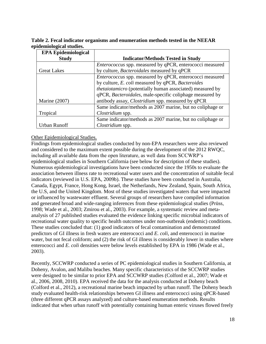**Table 2. Fecal indicator organisms and enumeration methods tested in the NEEAR epidemiological studies.** 

| <b>EPA Epidemiological</b> |                                                                 |  |  |  |  |  |
|----------------------------|-----------------------------------------------------------------|--|--|--|--|--|
| <b>Study</b>               | <b>Indicator/Methods Tested in Study</b>                        |  |  |  |  |  |
|                            | <i>Enterococcus</i> spp. measured by qPCR, enterococci measured |  |  |  |  |  |
| <b>Great Lakes</b>         | by culture, Bacteroidales measured by qPCR                      |  |  |  |  |  |
|                            | Enterococcus spp. measured by qPCR, enterococci measured        |  |  |  |  |  |
|                            | by culture, E. coli measured by qPCR, Bacteroides               |  |  |  |  |  |
|                            | thetaiotamicro (potentially human associated) measured by       |  |  |  |  |  |
|                            | qPCR, Bacteroidales, male-specific coliphage measured by        |  |  |  |  |  |
| Marine $(2007)$            | antibody assay, <i>Clostridium</i> spp. measured by qPCR        |  |  |  |  |  |
|                            | Same indicator/methods as 2007 marine, but no coliphage or      |  |  |  |  |  |
| Tropical                   | Clostridium spp.                                                |  |  |  |  |  |
|                            | Same indicator/methods as 2007 marine, but no coliphage or      |  |  |  |  |  |
| Urban Runoff               | Clostridium spp.                                                |  |  |  |  |  |

#### Other Epidemiological Studies.

Findings from epidemiological studies conducted by non-EPA researchers were also reviewed and considered to the maximum extent possible during the development of the 2012 RWQC, including all available data from the open literature, as well data from SCCWRP's epidemiological studies in Southern California (see below for description of these studies). Numerous epidemiological investigations have been conducted since the 1950s to evaluate the association between illness rate to recreational water users and the concentration of suitable fecal indicators (reviewed in U.S. EPA, 2009b). These studies have been conducted in Australia, Canada, Egypt, France, Hong Kong, Israel, the Netherlands, New Zealand, Spain, South Africa, the U.S, and the United Kingdom. Most of these studies investigated waters that were impacted or influenced by wastewater effluent. Several groups of researchers have compiled information and generated broad and wide-ranging inferences from these epidemiological studies (Prüss, 1998; Wade et al., 2003; Zmirou et al., 2003). For example, a systematic review and metaanalysis of 27 published studies evaluated the evidence linking specific microbial indicators of recreational water quality to specific health outcomes under non-outbreak (endemic) conditions. These studies concluded that: (1) good indicators of fecal contamination and demonstrated predictors of GI illness in fresh waters are enterococci and *E. coli*, and enterococci in marine water, but not fecal coliform; and (2) the risk of GI illness is considerably lower in studies where enterococci and *E. coli* densities were below levels established by EPA in 1986 (Wade et al., 2003).

Recently, SCCWRP conducted a series of PC epidemiological studies in Southern California, at Doheny, Avalon, and Malibu beaches. Many specific characteristics of the SCCWRP studies were designed to be similar to prior EPA and SCCWRP studies (Colford et al., 2007; Wade et al., 2006, 2008, 2010). EPA received the data for the analysis conducted at Doheny beach (Colford et al., 2012), a recreational marine beach impacted by urban runoff. The Doheny beach study evaluated health-risk relationships between GI illness and enterococci using qPCR-based (three different qPCR assays analyzed) and culture-based enumeration methods. Results indicated that when urban runoff with potentially containing human enteric viruses flowed freely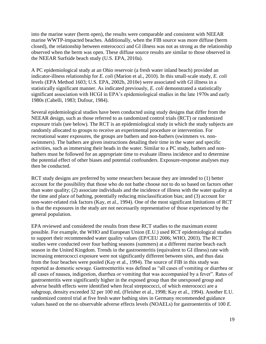into the marine water (berm open), the results were comparable and consistent with NEEAR marine WWTP-impacted beaches. Additionally, when the FIB source was more diffuse (berm closed), the relationship between enterococci and GI illness was not as strong as the relationship observed when the berm was open. These diffuse source results are similar to those observed in the NEEAR Surfside beach study (U.S. EPA, 2010a).

A PC epidemiological study at an Ohio reservoir (a fresh water inland beach) provided an indicator-illness relationship for *E. coli* (Marion et al., 2010). In this small-scale study, *E. coli* levels (EPA Method 1603; U.S. EPA, 2002b, 2010e) were associated with GI illness in a statistically significant manner. As indicated previously, *E. coli* demonstrated a statistically significant association with HCGI in EPA's epidemiological studies in the late 1970s and early 1980s (Cabelli, 1983; Dufour, 1984).

Several epidemiological studies have been conducted using study designs that differ from the NEEAR design, such as those referred to as randomized control trials (RCT) or randomized exposure trials (see below). The RCT is an epidemiological study in which the study subjects are randomly allocated to groups to receive an experimental procedure or intervention. For recreational water exposures, the groups are bathers and non-bathers (swimmers vs. nonswimmers). The bathers are given instructions detailing their time in the water and specific activities, such as immersing their heads in the water. Similar to a PC study, bathers and nonbathers must be followed for an appropriate time to evaluate illness incidence and to determine the potential effect of other biases and potential confounders. Exposure-response analyses may then be conducted.

RCT study designs are preferred by some researchers because they are intended to (1) better account for the possibility that those who do not bathe choose not to do so based on factors other than water quality; (2) associate individuals and the incidence of illness with the water quality at the time and place of bathing, potentially reducing misclassification bias; and (3) account for non-water-related risk factors (Kay, et al., 1994). One of the most significant limitations of RCT is that the exposures in the study are not necessarily representative of those experienced by the general population.

EPA reviewed and considered the results from these RCT studies to the maximum extent possible. For example, the WHO and European Union (E.U.) used RCT epidemiological studies to support their recommended water quality values (EP/CEU 2006; WHO, 2003). The RCT studies were conducted over four bathing seasons (summers) at a different marine beach each season in the United Kingdom. Trends in the gastroenteritis (equivalent to GI illness) rate with increasing enterococci exposure were not significantly different between sites, and thus data from the four beaches were pooled (Kay et al., 1994). The source of FIB in this study was reported as domestic sewage. Gastroenteritis was defined as "all cases of vomiting or diarrhea or all cases of nausea, indigestion, diarrhea or vomiting that was accompanied by a fever". Rates of gastroenteritis were significantly higher in the exposed group than the unexposed group and adverse health effects were identified when fecal streptococci, of which enterococci are a subgroup, density exceeded 32 per 100 mL (Fleisher et al., 1998; Kay et al., 1994). Another E.U. randomized control trial at five fresh water bathing sites in Germany recommended guidance values based on the no observable adverse effects levels (NOAELs) for gastroenteritis of 100 *E.*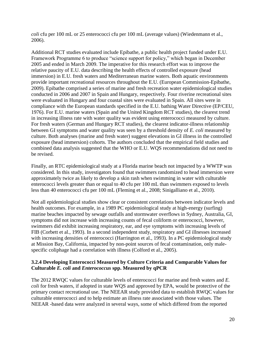*coli* cfu per 100 mL or 25 enterococci cfu per 100 mL (average values) (Wiedenmann et al., 2006).

Additional RCT studies evaluated include Epibathe, a public health project funded under E.U. Framework Programme 6 to produce "science support for policy," which began in December 2005 and ended in March 2009. The imperative for this research effort was to improve the relative paucity of E.U. data describing the health effects of controlled exposure (head immersion) in E.U. fresh waters and Mediterranean marine waters. Both aquatic environments provide important recreational resources throughout the E.U. (European Commission-Epibathe, 2009). Epibathe comprised a series of marine and fresh recreation water epidemiological studies conducted in 2006 and 2007 in Spain and Hungary, respectively. Four riverine recreational sites were evaluated in Hungary and four coastal sites were evaluated in Spain. All sites were in compliance with the European standards specified in the E.U. bathing Water Directive (EP/CEU, 1976). For E.U. marine waters (Spain and the United Kingdom RCT studies), the clearest trend in increasing illness rate with water quality was evident using enterococci measured by culture. For fresh waters (German and Hungary RCT studies), the clearest indicator-illness relationship between GI symptoms and water quality was seen by a threshold density of *E. coli* measured by culture. Both analyses (marine and fresh water) suggest elevations in GI illness in the controlled exposure (head immersion) cohorts. The authors concluded that the empirical field studies and combined data analysis suggested that the WHO or E.U. WQS recommendations did not need to be revised.

Finally, an RTC epidemiological study at a Florida marine beach not impacted by a WWTP was considered. In this study, investigators found that swimmers randomized to head immersion were approximately twice as likely to develop a skin rash when swimming in water with culturable enterococci levels greater than or equal to 40 cfu per 100 mL than swimmers exposed to levels less than 40 enterococci cfu per 100 mL (Fleming et al., 2008; Sinigalliano et al., 2010).

Not all epidemiological studies show clear or consistent correlations between indicator levels and health outcomes. For example, in a 1989 PC epidemiological study at high-energy (surfing) marine beaches impacted by sewage outfalls and stormwater overflows in Sydney, Australia, GI, symptoms did not increase with increasing counts of fecal coliform or enterococci, however, swimmers did exhibit increasing respiratory, ear, and eye symptoms with increasing levels of FIB (Corbett et al., 1993). In a second independent study, respiratory and GI illnesses increased with increasing densities of enterococci (Harrington et al., 1993). In a PC epidemiological study at Mission Bay, California, impacted by non-point sources of fecal contamination, only malespecific coliphage had a correlation with illness (Colford et al., 2005).

#### <span id="page-25-0"></span>**3.2.4 Developing Enterococci Measured by Culture Criteria and Comparable Values for Culturable** *E. coli* **and** *Enterococcus* **spp. Measured by qPCR**

The 2012 RWQC values for culturable levels of enterococci for marine and fresh waters and *E. coli* for fresh waters, if adopted in state WQS and approved by EPA, would be protective of the primary contact recreational use. The NEEAR study provided data to establish RWQC values for culturable enterococci and to help estimate an illness rate associated with those values. The NEEAR -based data were analyzed in several ways, some of which differed from the reported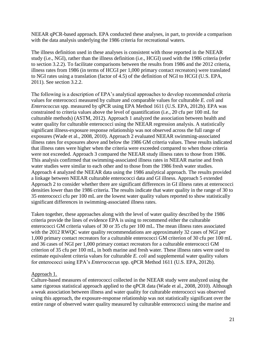NEEAR qPCR-based approach. EPA conducted these analyses, in part, to provide a comparison with the data analysis underlying the 1986 criteria for recreational waters.

The illness definition used in these analyses is consistent with those reported in the NEEAR study (i.e., NGI), rather than the illness definition (i.e., HCGI) used with the 1986 criteria (refer to section 3.2.2). To facilitate comparisons between the results from 1986 and the 2012 criteria, illness rates from 1986 (in terms of HCGI per 1,000 primary contact recreators) were translated to NGI rates using a translation (factor of 4.5) of the definition of NGI to HCGI (U.S. EPA, 2011). See section 3.2.2.

The following is a description of EPA's analytical approaches to develop recommended criteria values for enterococci measured by culture and comparable values for culturable *E. coli* and *Enterococcus* spp. measured by qPCR using EPA Method 1611 (U.S. EPA, 2012b). EPA was constrained to criteria values above the level of quantification (i.e., 20 cfu per 100 mL for culturable methods) (ASTM, 2012). Approach 1 analyzed the association between health and water quality for culturable enterococci using the NEEAR regression analysis. A statistically significant illness-exposure response relationship was not observed across the full range of exposures (Wade et al., 2008, 2010). Approach 2 evaluated NEEAR swimming-associated illness rates for exposures above and below the 1986 GM criteria values. These results indicated that illness rates were higher when the criteria were exceeded compared to when those criteria were not exceeded. Approach 3 compared the NEEAR study illness rates to those from 1986. This analysis confirmed that swimming-associated illness rates in NEEAR marine and fresh water studies were similar to each other and to those from the 1986 fresh water studies. Approach 4 analyzed the NEEAR data using the 1986 analytical approach. The results provided a linkage between NEEAR culturable enterococci data and GI illness. Approach 5 extended Approach 2 to consider whether there are significant differences in GI illness rates at enterococci densities lower than the 1986 criteria. The results indicate that water quality in the range of 30 to 35 enterococci cfu per 100 mL are the lowest water quality values reported to show statistically significant differences in swimming-associated illness rates.

Taken together, these approaches along with the level of water quality described by the 1986 criteria provide the lines of evidence EPA is using to recommend either the culturable enterococci GM criteria values of 30 or 35 cfu per 100 mL. The mean illness rates associated with the 2012 RWQC water quality recommendations are approximately 32 cases of NGI per 1,000 primary contact recreators for a culturable enterococci GM criterion of 30 cfu per 100 mL and 36 cases of NGI per 1,000 primary contact recreators for a culturable enterococci GM criterion of 35 cfu per 100 mL, in both marine and fresh water. These illness rates were used to estimate equivalent criteria values for culturable *E. coli* and supplemental water quality values for enterococci using EPA's *Enterococcus* spp. qPCR Method 1611 (U.S. EPA, 2012b).

#### Approach 1.

Culture-based measures of enterococci collected in the NEEAR study were analyzed using the same rigorous statistical approach applied to the qPCR data (Wade et al., 2008, 2010). Although a weak association between illness and water quality for culturable enterococci was observed using this approach, the exposure-response relationship was not statistically significant over the entire range of observed water quality measured by culturable enterococci using the marine and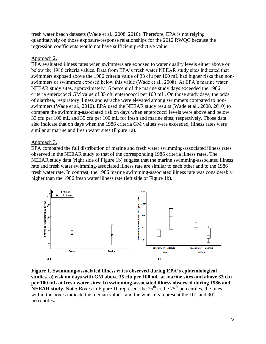fresh water beach datasets (Wade et al., 2008, 2010). Therefore, EPA is not relying quantitatively on those exposure-response relationships for the 2012 RWQC because the regression coefficients would not have sufficient predictive value.

#### Approach 2.

EPA evaluated illness rates when swimmers are exposed to water quality levels either above or below the 1986 criteria values. Data from EPA's fresh water NEEAR study sites indicated that swimmers exposed above the 1986 criteria value of 33 cfu per 100 mL had higher risks than nonswimmers or swimmers exposed below this value (Wade et al., 2008). At EPA's marine water NEEAR study sites, approximately 16 percent of the marine study days exceeded the 1986 criteria enterococci GM value of 35 cfu enterococci per 100 mL. On those study days, the odds of diarrhea, respiratory illness and earache were elevated among swimmers compared to nonswimmers (Wade et al., 2010). EPA used the NEEAR study results (Wade et al., 2008, 2010) to compare the swimming-associated risk on days when enterococci levels were above and below 33 cfu per 100 mL and 35 cfu per 100 mL for fresh and marine sites, respectively. Those data also indicate that on days when the 1986 criteria GM values were exceeded, illness rates were similar at marine and fresh water sites (Figure 1a).

#### Approach 3.

EPA compared the full distribution of marine and fresh water swimming-associated illness rates observed in the NEEAR study to that of the corresponding 1986 criteria illness rates. The NEEAR study data (right side of Figure 1b) suggest that the marine swimming-associated illness rate and fresh water swimming-associated illness rate are similar to each other and to the 1986 fresh water rate. In contrast, the 1986 marine swimming-associated illness rate was considerably higher than the 1986 fresh water illness rate (left side of Figure 1b).



**Figure 1. Swimming-associated illness rates observed during EPA's epidemiological studies. a) risk on days with GM above 35 cfu per 100 mL at marine sites and above 33 cfu per 100 mL at fresh water sites; b) swimming-associated illness observed during 1986 and NEEAR study.** Note: Boxes in Figure 1b represent the  $25<sup>th</sup>$  to the  $75<sup>th</sup>$  percentiles, the lines within the boxes indicate the median values, and the whiskers represent the  $10<sup>th</sup>$  and  $90<sup>th</sup>$ percentiles**.**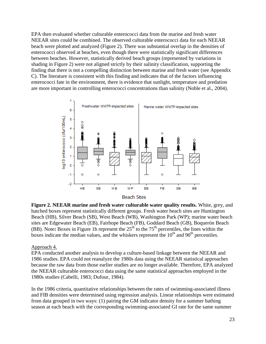EPA then evaluated whether culturable enterococci data from the marine and fresh water NEEAR sites could be combined. The observed culturable enterococci data for each NEEAR beach were plotted and analyzed (Figure 2). There was substantial overlap in the densities of enterococci observed at beaches, even though there were statistically significant differences between beaches. However, statistically derived beach groups (represented by variations in shading in Figure 2) were not aligned strictly by their salinity classification, supporting the finding that there is not a compelling distinction between marine and fresh water (see Appendix C). The literature is consistent with this finding and indicates that of the factors influencing enterococci fate in the environment, there is evidence that sunlight, temperature and predation are more important in controlling enterococci concentrations than salinity (Noble et al., 2004).



**Figure 2. NEEAR marine and fresh water culturable water quality results.** White, grey, and hatched boxes represent statistically different groups. Fresh water beach sites are Huntington Beach (HB), Silver Beach (SB), West Beach (WB), Washington Park (WP); marine water beach sites are Edgewater Beach (EB), Fairhope Beach (FB), Goddard Beach (GB), Boquerón Beach (BB). Note: Boxes in Figure 1b represent the 25<sup>th</sup> to the 75<sup>th</sup> percentiles, the lines within the boxes indicate the median values, and the whiskers represent the  $10<sup>th</sup>$  and  $90<sup>th</sup>$  percentiles.

#### Approach 4.

EPA conducted another analysis to develop a culture-based linkage between the NEEAR and 1986 studies. EPA could not reanalyze the 1980s data using the NEEAR statistical approaches because the raw data from those earlier studies are no longer available. Therefore, EPA analyzed the NEEAR culturable enterococci data using the same statistical approaches employed in the 1980s studies (Cabelli, 1983; Dufour, 1984).

In the 1986 criteria, quantitative relationships between the rates of swimming-associated illness and FIB densities were determined using regression analysis. Linear relationships were estimated from data grouped in two ways: (1) pairing the GM indicator density for a summer bathing season at each beach with the corresponding swimming-associated GI rate for the same summer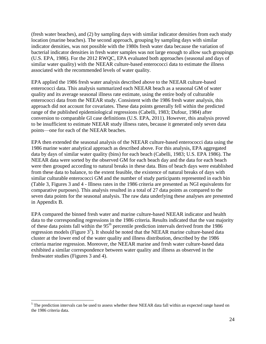(fresh water beaches), and (2) by sampling days with similar indicator densities from each study location (marine beaches). The second approach, grouping by sampling days with similar indicator densities, was not possible with the 1980s fresh water data because the variation of bacterial indicator densities in fresh water samples was not large enough to allow such groupings (U.S. EPA, 1986). For the 2012 RWQC, EPA evaluated both approaches (seasonal and days of similar water quality) with the NEEAR culture-based enterococci data to estimate the illness associated with the recommended levels of water quality.

EPA applied the 1986 fresh water analysis described above to the NEEAR culture-based enterococci data. This analysis summarized each NEEAR beach as a seasonal GM of water quality and its average seasonal illness rate estimate, using the entire body of culturable enterococci data from the NEEAR study. Consistent with the 1986 fresh water analysis, this approach did not account for covariates. These data points generally fell within the predicted range of the published epidemiological regressions (Cabelli, 1983; Dufour, 1984) after conversion to comparable GI case definitions (U.S. EPA, 2011). However, this analysis proved to be insufficient to estimate NEEAR study illness rates, because it generated only seven data points—one for each of the NEEAR beaches.

EPA then extended the seasonal analysis of the NEEAR culture-based enterococci data using the 1986 marine water analytical approach as described above. For this analysis, EPA aggregated data by days of similar water quality (bins) for each beach (Cabelli, 1983; U.S. EPA 1986). The NEEAR data were sorted by the observed GM for each beach day and the data for each beach were then grouped according to natural breaks in these data. Bins of beach days were established from these data to balance, to the extent feasible, the existence of natural breaks of days with similar culturable enterococci GM and the number of study participants represented in each bin (Table 3, Figures 3 and 4 - Illness rates in the 1986 criteria are presented as NGI equivalents for comparative purposes). This analysis resulted in a total of 27 data points as compared to the seven data points for the seasonal analysis. The raw data underlying these analyses are presented in Appendix B.

EPA compared the binned fresh water and marine culture-based NEEAR indicator and health data to the corresponding regressions in the 1986 criteria. Results indicated that the vast majority of these data points fall within the  $95<sup>th</sup>$  percentile prediction intervals derived from the 1986 regression models (Figure  $3<sup>5</sup>$ ). It should be noted that the NEEAR marine culture-based data cluster at the lower end of the water quality and illness distribution, described by the 1986 criteria marine regression. Moreover, the NEEAR marine and fresh water culture-based data exhibited a similar correspondence between water quality and illness as observed in the freshwater studies (Figures 3 and 4).

<sup>&</sup>lt;sup>5</sup> The prediction intervals can be used to assess whether these NEEAR data fall within an expected range based on the 1986 criteria data.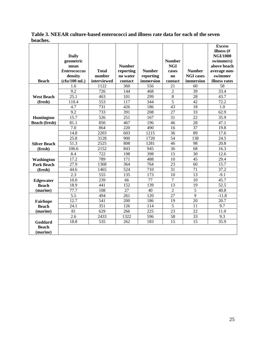| Table 3. NEEAR culture-based enterococci and illness rate data for each of the seven |  |
|--------------------------------------------------------------------------------------|--|
| beaches.                                                                             |  |

|                      |                     |              |               |               |                |                  | <b>Excess</b>   |
|----------------------|---------------------|--------------|---------------|---------------|----------------|------------------|-----------------|
|                      |                     |              |               |               |                |                  | illness (#      |
|                      | <b>Daily</b>        |              |               |               |                |                  | <b>NGI/1000</b> |
|                      | geometric           |              |               |               | <b>Number</b>  |                  | swimmers)       |
|                      | mean                |              | <b>Number</b> |               | <b>NGI</b>     |                  | above beach     |
|                      | <b>Enterococcus</b> | <b>Total</b> | reporting     | <b>Number</b> | cases          | <b>Number</b>    | average non-    |
|                      | density             | number       | no water      | reporting     | $\bf{no}$      | <b>NGI</b> cases | swimmer         |
| <b>Beach</b>         | (cfu/100 mL)        | interviewed  | contact       | immersion     | contact        | immersion        | illness rates   |
|                      | 1.6                 | 1122         | 360           | 556           | 21             | 60               | 58              |
|                      | 9.2                 | 726          | 144           | 468           | $\overline{2}$ | 39               | 33.4            |
| <b>West Beach</b>    | 25.1                | 463          | 101           | 299           | 8              | 28               | 43.7            |
| (fresh)              | 110.4               | 553          | 117           | 344           | 5              | 42               | 72.2            |
|                      | 4.7                 | 731          | 426           | 186           | 43             | 18               | 1.0             |
|                      | 9.2                 | 733          | 391           | 208           | 27             | 33               | 62.9            |
| Huntington           | 15.7                | 526          | 251           | 167           | 31             | 22               | 35.9            |
| <b>Beach (fresh)</b> | 81.1                | 850          | 467           | 196           | 46             | 28               | 47.1            |
|                      | 7.0                 | 864          | 220           | 490           | 16             | $\overline{37}$  | 19.8            |
|                      | 14.8                | 2203         | 603           | 1215          | 36             | 89               | 17.6            |
|                      | 25.8                | 3128         | 900           | 1720          | 54             | 138              | 24.5            |
| <b>Silver Beach</b>  | 51.3                | 2525         | 808           | 1281          | 46             | 98               | 20.8            |
| (fresh)              | 106.6               | 2152         | 843           | 945           | 36             | 68               | 16.3            |
|                      | 8.4                 | 722          | 198           | 398           | 15             | 30               | 12.6            |
| Washington           | 17.2                | 789          | 171           | 488           | 10             | 45               | 29.4            |
| <b>Park Beach</b>    | 27.9                | 1368         | 364           | 764           | 23             | 60               | 15.7            |
| (fresh)              | 44.6                | 1465         | 524           | 710           | 31             | 71               | 37.2            |
|                      | 2.3                 | 555          | 135           | 173           | 10             | 13               | $-9.1$          |
| Edgewater            | 10.0                | 239          | 66            | 77            | $\overline{7}$ | 10               | 45.7            |
| <b>Beach</b>         | 18.9                | 441          | 152           | 139           | 13             | 19               | 52.5            |
| (marine)             | 77.7                | 108          | 27            | 40            | $\overline{2}$ | 5                | 40.8            |
|                      | 5.5                 | 494          | 261           | 120           | 27             | 9                | $-11.8$         |
| Fairhope             | 12.7                | 541          | 200           | 186           | 19             | $\overline{20}$  | 20.7            |
| <b>Beach</b>         | 24.1                | 351          | 126           | 114           | 5              | 11               | 9.7             |
| (marine)             | 81                  | 629          | 266           | 225           | 23             | 22               | 11.0            |
|                      | 2.6                 | 2433         | 1322          | 596           | 58             | $\overline{33}$  | 9.3             |
| Goddard              | 18.8                | 535          | 262           | 183           | 15             | 15               | 35.9            |
| <b>Beach</b>         |                     |              |               |               |                |                  |                 |
| (marine)             |                     |              |               |               |                |                  |                 |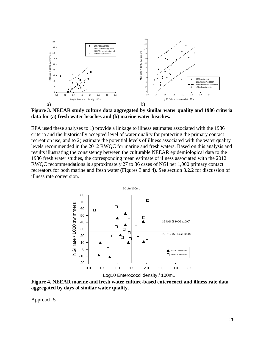

**Figure 3. NEEAR study culture data aggregated by similar water quality and 1986 criteria data for (a) fresh water beaches and (b) marine water beaches.** 

EPA used these analyses to 1) provide a linkage to illness estimates associated with the 1986 criteria and the historically accepted level of water quality for protecting the primary contact recreation use, and to 2) estimate the potential levels of illness associated with the water quality levels recommended in the 2012 RWQC for marine and fresh waters. Based on this analysis and results illustrating the consistency between the culturable NEEAR epidemiological data to the 1986 fresh water studies, the corresponding mean estimate of illness associated with the 2012 RWQC recommendations is approximately 27 to 36 cases of NGI per 1,000 primary contact recreators for both marine and fresh water (Figures 3 and 4). See section 3.2.2 for discussion of illness rate conversion.



**Figure 4. NEEAR marine and fresh water culture-based enterococci and illness rate data aggregated by days of similar water quality.** 

Approach 5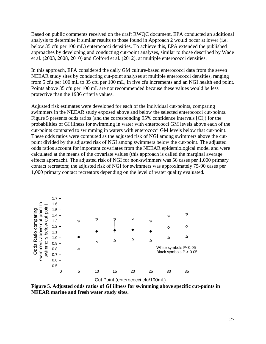Based on public comments received on the draft RWQC document, EPA conducted an additional analysis to determine if similar results to those found in Approach 2 would occur at lower (i.e. below 35 cfu per 100 mL) enterococci densities. To achieve this, EPA extended the published approaches by developing and conducting cut-point analyses, similar to those described by Wade et al. (2003, 2008, 2010) and Colford et al. (2012), at multiple enterococci densities.

In this approach, EPA considered the daily GM culture-based enterococci data from the seven NEEAR study sites by conducting cut-point analyses at multiple enterococci densities, ranging from 5 cfu per 100 mL to 35 cfu per 100 mL, in five cfu increments and an NGI health end point. Points above 35 cfu per 100 mL are not recommended because these values would be less protective than the 1986 criteria values.

Adjusted risk estimates were developed for each of the individual cut-points, comparing swimmers in the NEEAR study exposed above and below the selected enterococci cut-points. Figure 5 presents odds ratios (and the corresponding 95% confidence intervals [CI]) for the probabilities of GI illness for swimming in water with enterococci GM levels above each of the cut-points compared to swimming in waters with enterococci GM levels below that cut-point. These odds ratios were computed as the adjusted risk of NGI among swimmers above the cutpoint divided by the adjusted risk of NGI among swimmers below the cut-point. The adjusted odds ratios account for important covariates from the NEEAR epidemiological model and were calculated at the means of the covariate values (this approach is called the marginal average effects approach). The adjusted risk of NGI for non-swimmers was 56 cases per 1,000 primary contact recreators; the adjusted risk of NGI for swimmers was approximately 75-90 cases per 1,000 primary contact recreators depending on the level of water quality evaluated.



**Figure 5. Adjusted odds ratios of GI illness for swimming above specific cut-points in NEEAR marine and fresh water study sites.**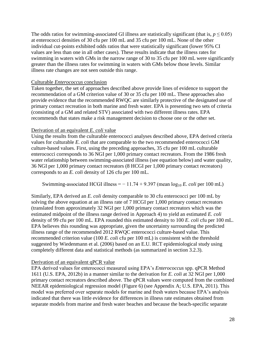The odds ratios for swimming-associated GI illness are statistically significant (that is,  $p \le 0.05$ ) at enterococci densities of 30 cfu per 100 mL and 35 cfu per 100 mL. None of the other individual cut-points exhibited odds ratios that were statistically significant (lower 95% CI values are less than one in all other cases). These results indicate that the illness rates for swimming in waters with GMs in the narrow range of 30 to 35 cfu per 100 mL were significantly greater than the illness rates for swimming in waters with GMs below those levels. Similar illness rate changes are not seen outside this range.

#### Culturable *Enterococcus* conclusion

Taken together, the set of approaches described above provide lines of evidence to support the recommendation of a GM criterion value of 30 or 35 cfu per 100 mL. These approaches also provide evidence that the recommended RWQC are similarly protective of the designated use of primary contact recreation in both marine and fresh water. EPA is presenting two sets of criteria (consisting of a GM and related STV) associated with two different illness rates. EPA recommends that states make a risk management decision to choose one or the other set.

#### Derivation of an equivalent *E. coli* value

Using the results from the culturable enterococci analyses described above, EPA derived criteria values for culturable *E. coli* that are comparable to the two recommended enterococci GM culture-based values. First, using the preceding approaches, 35 cfu per 100 mL culturable enterococci corresponds to 36 NGI per 1,000 primary contact recreators. From the 1986 fresh water relationship between swimming-associated illness (see equation below) and water quality, 36 NGI per 1,000 primary contact recreators (8 HCGI per 1,000 primary contact recreators) corresponds to an *E. coli* density of 126 cfu per 100 mL.

Swimming-associated HCGI illness =  $-11.74 + 9.397$  (mean  $log_{10} E$ . *coli* per 100 mL)

Similarly, EPA derived an *E. coli* density comparable to 30 cfu enterococci per 100 mL by solving the above equation at an illness rate of 7 HCGI per 1,000 primary contact recreators (translated from approximately 32 NGI per 1,000 primary contact recreators which was the estimated midpoint of the illness range derived in Approach 4) to yield an estimated *E. coli* density of 99 cfu per 100 mL. EPA rounded this estimated density to 100 *E. coli* cfu per 100 mL. EPA believes this rounding was appropriate, given the uncertainty surrounding the predicted illness range of the recommended 2012 RWQC enterococci culture-based value. This recommended criterion value (100 *E. coli* cfu per 100 mL) is consistent with the threshold suggested by Wiedenmann et al. (2006) based on an E.U. RCT epidemiological study using completely different data and statistical methods (as summarized in section 3.2.3).

#### Derivation of an equivalent qPCR value

EPA derived values for enterococci measured using EPA's *Enterococcus* spp. qPCR Method 1611 (U.S. EPA, 2012b) in a manner similar to the derivation for *E. coli* at 32 NGI per 1,000 primary contact recreators described above. The qPCR values were computed from the combined NEEAR epidemiological regression model (Figure 6) (see Appendix A; U.S. EPA, 2011). This model was preferred over separate models for marine and fresh waters because EPA's analysis indicated that there was little evidence for differences in illness rate estimates obtained from separate models from marine and fresh water beaches and because the beach-specific separate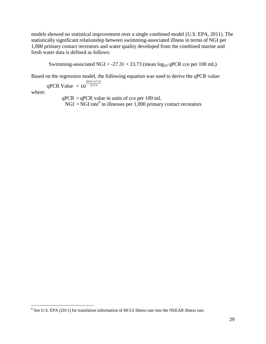models showed no statistical improvement over a single combined model (U.S. EPA, 2011). The statistically significant relationship between swimming-associated illness in terms of NGI per 1,000 primary contact recreators and water quality developed from the combined marine and fresh water data is defined as follows:

Swimming-associated NGI =  $-27.31 + 23.73$  (mean  $log_{10}$  qPCR cce per 100 mL)

Based on the regression model, the following equation was used to derive the qPCR value:

$$
qPCR Value = 10^{\frac{NGI + 27}{23.73}}
$$

27.31

where:

 $\overline{\phantom{a}}$ 

 $qPCR = qPCR$  value in units of cce per 100 mL  $NGI = \overline{NGI}$  rate<sup>6</sup> in illnesses per 1,000 primary contact recreators

 $<sup>6</sup>$  See U.S. EPA (2011) for translation information of HCGI illness rate into the NEEAR illness rate.</sup>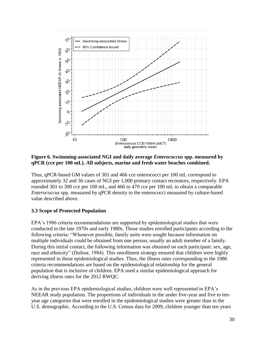

**Figure 6. Swimming-associated NGI and daily average** *Enterococcus* **spp. measured by qPCR (cce per 100 mL). All subjects, marine and fresh water beaches combined.**

Thus, qPCR-based GM values of 301 and 466 cce enterococci per 100 mL correspond to approximately 32 and 36 cases of NGI per 1,000 primary contact recreators, respectively. EPA rounded 301 to 300 cce per 100 mL, and 466 to 470 cce per 100 mL to obtain a comparable *Enterococcus* spp. measured by qPCR density to the enterococci measured by culture-based value described above.

#### <span id="page-35-0"></span>**3.3 Scope of Protected Population**

EPA's 1986 criteria recommendations are supported by epidemiological studies that were conducted in the late 1970s and early 1980s. Those studies enrolled participants according to the following criteria: "Whenever possible, family units were sought because information on multiple individuals could be obtained from one person, usually an adult member of a family. During this initial contact, the following information was obtained on each participant: sex, age, race and ethnicity" (Dufour, 1984). This enrollment strategy ensured that children were highly represented in those epidemiological studies. Thus, the illness rates corresponding to the 1986 criteria recommendations are based on the epidemiological relationship for the general population that is inclusive of children. EPA used a similar epidemiological approach for deriving illness rates for the 2012 RWQC.

As in the previous EPA epidemiological studies, children were well represented in EPA's NEEAR study population. The proportions of individuals in the under five-year and five to tenyear age categories that were enrolled in the epidemiological studies were greater than in the U.S. demographic. According to the U.S. Census data for 2009, children younger than ten years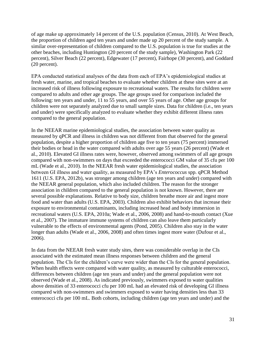of age make up approximately 14 percent of the U.S. population (Census, 2010). At West Beach, the proportion of children aged ten years and under made up 20 percent of the study sample. A similar over-representation of children compared to the U.S. population is true for studies at the other beaches, including Huntington (20 percent of the study sample), Washington Park (22 percent), Silver Beach (22 percent), Edgewater (17 percent), Fairhope (30 percent), and Goddard (20 percent).

EPA conducted statistical analyses of the data from each of EPA's epidemiological studies at fresh water, marine, and tropical beaches to evaluate whether children at these sites were at an increased risk of illness following exposure to recreational waters. The results for children were compared to adults and other age groups. The age groups used for comparison included the following: ten years and under, 11 to 55 years, and over 55 years of age. Other age groups for children were not separately analyzed due to small sample sizes. Data for children (i.e., ten years and under) were specifically analyzed to evaluate whether they exhibit different illness rates compared to the general population.

In the NEEAR marine epidemiological studies, the association between water quality as measured by qPCR and illness in children was not different from that observed for the general population, despite a higher proportion of children age five to ten years (75 percent) immersed their bodies or head in the water compared with adults over age 55 years (26 percent) (Wade et al., 2010). Elevated GI illness rates were, however, observed among swimmers of all age groups compared with non-swimmers on days that exceeded the enterococci GM value of 35 cfu per 100 mL (Wade et al., 2010). In the NEEAR fresh water epidemiological studies, the association between GI illness and water quality, as measured by EPA's *Enterococcus* spp. qPCR Method 1611 (U.S. EPA, 2012b), was stronger among children (age ten years and under) compared with the NEEAR general population, which also included children. The reason for the stronger association in children compared to the general population is not known. However, there are several possible explanations. Relative to body size, children breathe more air and ingest more food and water than adults (U.S. EPA, 2003). Children also exhibit behaviors that increase their exposure to environmental contaminants, including increased head and body immersion in recreational waters (U.S. EPA, 2010a; Wade et al., 2006, 2008) and hand-to-mouth contact (Xue et al., 2007). The immature immune systems of children can also leave them particularly vulnerable to the effects of environmental agents (Pond, 2005). Children also stay in the water longer than adults (Wade et al., 2006, 2008) and often times ingest more water (Dufour et al., 2006).

In data from the NEEAR fresh water study sites, there was considerable overlap in the CIs associated with the estimated mean illness responses between children and the general population. The CIs for the children's curve were wider than the CIs for the general population. When health effects were compared with water quality, as measured by culturable enterococci, differences between children (age ten years and under) and the general population were not observed (Wade et al., 2008). As indicated previously, swimmers exposed to water qualities above densities of 33 enterococci cfu per 100 mL had an elevated risk of developing GI illness compared with non-swimmers and swimmers exposed to water having densities less than 33 enterococci cfu per 100 mL. Both cohorts, including children (age ten years and under) and the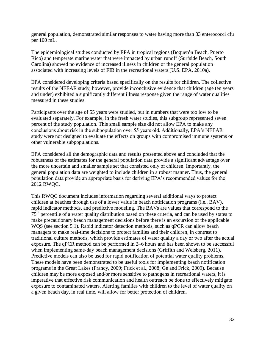general population, demonstrated similar responses to water having more than 33 enterococci cfu per 100 mL.

The epidemiological studies conducted by EPA in tropical regions (Boquerón Beach, Puerto Rico) and temperate marine water that were impacted by urban runoff (Surfside Beach, South Carolina) showed no evidence of increased illness in children or the general population associated with increasing levels of FIB in the recreational waters (U.S. EPA, 2010a).

EPA considered developing criteria based specifically on the results for children. The collective results of the NEEAR study, however, provide inconclusive evidence that children (age ten years and under) exhibited a significantly different illness response given the range of water qualities measured in these studies.

Participants over the age of 55 years were studied, but in numbers that were too low to be evaluated separately. For example, in the fresh water studies, this subgroup represented seven percent of the study population. This small sample size did not allow EPA to make any conclusions about risk in the subpopulation over 55 years old. Additionally, EPA's NEEAR study were not designed to evaluate the effects on groups with compromised immune systems or other vulnerable subpopulations.

EPA considered all the demographic data and results presented above and concluded that the robustness of the estimates for the general population data provide a significant advantage over the more uncertain and smaller sample set that consisted only of children. Importantly, the general population data are weighted to include children in a robust manner. Thus, the general population data provide an appropriate basis for deriving EPA's recommended values for the 2012 RWQC.

This RWQC document includes information regarding several additional ways to protect children at beaches through use of a lower value in beach notification programs (i.e., BAV), rapid indicator methods, and predictive modeling. The BAVs are values that correspond to the 75<sup>th</sup> percentile of a water quality distribution based on these criteria, and can be used by states to make precautionary beach management decisions before there is an excursion of the applicable WQS (see section 5.1). Rapid indicator detection methods, such as qPCR can allow beach managers to make real-time decisions to protect families and their children, in contrast to traditional culture methods, which provide estimates of water quality a day or two after the actual exposure. The qPCR method can be performed in 2–6 hours and has been shown to be successful when implementing same-day beach management decisions (Griffith and Weisberg, 2011). Predictive models can also be used for rapid notification of potential water quality problems. These models have been demonstrated to be useful tools for implementing beach notification programs in the Great Lakes (Francy, 2009; Frick et al., 2008; Ge and Frick, 2009). Because children may be more exposed and/or more sensitive to pathogens in recreational waters, it is imperative that effective risk communication and health outreach be done to effectively mitigate exposure to contaminated waters. Alerting families with children to the level of water quality on a given beach day, in real time, will allow for better protection of children.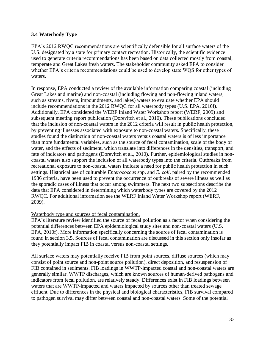## <span id="page-38-0"></span>**3.4 Waterbody Type**

EPA's 2012 RWQC recommendations are scientifically defensible for all surface waters of the U.S. designated by a state for primary contact recreation. Historically, the scientific evidence used to generate criteria recommendations has been based on data collected mostly from coastal, temperate and Great Lakes fresh waters. The stakeholder community asked EPA to consider whether EPA's criteria recommendations could be used to develop state WQS for other types of waters.

In response, EPA conducted a review of the available information comparing coastal (including Great Lakes and marine) and non-coastal (including flowing and non-flowing inland waters, such as streams, rivers, impoundments, and lakes) waters to evaluate whether EPA should include recommendations in the 2012 RWQC for all waterbody types (U.S. EPA, 2010f). Additionally, EPA considered the WERF Inland Water Workshop report (WERF, 2009) and subsequent meeting report publication (Dorevitch et al., 2010). These publications concluded that the inclusion of non-coastal waters in the 2012 criteria will result in public health protection, by preventing illnesses associated with exposure to non-coastal waters. Specifically, these studies found the distinction of non-coastal waters versus coastal waters is of less importance than more fundamental variables, such as the source of fecal contamination, scale of the body of water, and the effects of sediment, which translate into differences in the densities, transport, and fate of indicators and pathogens (Dorevitch et al., 2010). Further, epidemiological studies in noncoastal waters also support the inclusion of all waterbody types into the criteria. Outbreaks from recreational exposure to non-coastal waters indicate a need for public health protection in such settings. Historical use of culturable *Enterococcus* spp. and *E. coli*, paired by the recommended 1986 criteria, have been used to prevent the occurrence of outbreaks of severe illness as well as the sporadic cases of illness that occur among swimmers. The next two subsections describe the data that EPA considered in determining which waterbody types are covered by the 2012 RWQC. For additional information see the WERF Inland Water Workshop report (WERF, 2009).

#### Waterbody type and sources of fecal contamination.

EPA's literature review identified the source of fecal pollution as a factor when considering the potential differences between EPA epidemiological study sites and non-coastal waters (U.S. EPA, 2010f). More information specifically concerning the source of fecal contamination is found in section 3.5. Sources of fecal contamination are discussed in this section only insofar as they potentially impact FIB in coastal versus non-coastal settings.

All surface waters may potentially receive FIB from point sources, diffuse sources (which may consist of point source and non-point source pollution), direct deposition, and resuspension of FIB contained in sediments. FIB loadings in WWTP-impacted coastal and non-coastal waters are generally similar. WWTP discharges, which are known sources of human-derived pathogens and indicators from fecal pollution, are relatively steady. Differences exist in FIB loadings between waters that are WWTP-impacted and waters impacted by sources other than treated sewage effluent. Due to differences in the physical and biological characteristics, FIB survival compared to pathogen survival may differ between coastal and non-coastal waters. Some of the potential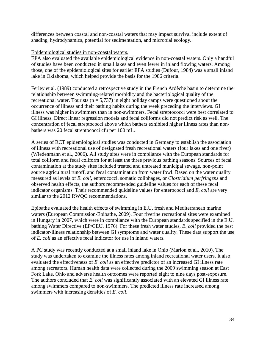differences between coastal and non-coastal waters that may impact survival include extent of shading, hydrodynamics, potential for sedimentation, and microbial ecology.

#### Epidemiological studies in non-coastal waters.

EPA also evaluated the available epidemiological evidence in non-coastal waters. Only a handful of studies have been conducted in small lakes and even fewer in inland flowing waters. Among those, one of the epidemiological sites for earlier EPA studies (Dufour, 1984) was a small inland lake in Oklahoma, which helped provide the basis for the 1986 criteria.

Ferley et al. (1989) conducted a retrospective study in the French Ardèche basin to determine the relationship between swimming-related morbidity and the bacteriological quality of the recreational water. Tourists ( $n = 5,737$ ) in eight holiday camps were questioned about the occurrence of illness and their bathing habits during the week preceding the interviews. GI illness was higher in swimmers than in non-swimmers. Fecal streptococci were best correlated to GI illness. Direct linear regression models and fecal coliforms did not predict risk as well. The concentration of fecal streptococci above which bathers exhibited higher illness rates than nonbathers was 20 fecal streptococci cfu per 100 mL.

A series of RCT epidemiological studies was conducted in Germany to establish the association of illness with recreational use of designated fresh recreational waters (four lakes and one river) (Wiedenmann et al., 2006). All study sites were in compliance with the European standards for total coliform and fecal coliform for at least the three previous bathing seasons. Sources of fecal contamination at the study sites included treated and untreated municipal sewage, non-point source agricultural runoff, and fecal contamination from water fowl. Based on the water quality measured as levels of *E. coli*, enterococci, somatic coliphages, or *Clostridium perfringens* and observed health effects, the authors recommended guideline values for each of these fecal indicator organisms. Their recommended guideline values for enterococci and *E. coli* are very similar to the 2012 RWQC recommendations.

Epibathe evaluated the health effects of swimming in E.U. fresh and Mediterranean marine waters (European Commission-Epibathe, 2009). Four riverine recreational sites were examined in Hungary in 2007, which were in compliance with the European standards specified in the E.U. bathing Water Directive (EP/CEU, 1976). For these fresh water studies, *E. coli* provided the best indicator-illness relationship between GI symptoms and water quality. These data support the use of *E. coli* as an effective fecal indicator for use in inland waters.

A PC study was recently conducted at a small inland lake in Ohio (Marion et al., 2010). The study was undertaken to examine the illness rates among inland recreational water users. It also evaluated the effectiveness of *E. coli* as an effective predictor of an increased GI illness rate among recreators. Human health data were collected during the 2009 swimming season at East Fork Lake, Ohio and adverse health outcomes were reported eight to nine days post-exposure. The authors concluded that *E. coli* was significantly associated with an elevated GI illness rate among swimmers compared to non-swimmers. The predicted illness rate increased among swimmers with increasing densities of *E. coli*.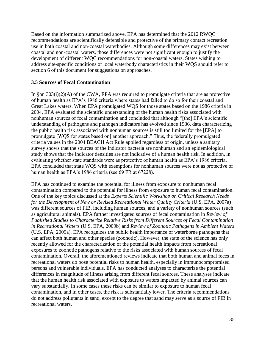Based on the information summarized above, EPA has determined that the 2012 RWQC recommendations are scientifically defensible and protective of the primary contact recreation use in both coastal and non-coastal waterbodies. Although some differences may exist between coastal and non-coastal waters, those differences were not significant enough to justify the development of different WQC recommendations for non-coastal waters. States wishing to address site-specific conditions or local waterbody characteristics in their WQS should refer to section 6 of this document for suggestions on approaches.

## <span id="page-40-0"></span>**3.5 Sources of Fecal Contamination**

In §on 303(i)(2)(A) of the CWA, EPA was required to promulgate criteria that are as protective of human health as EPA's 1986 criteria where states had failed to do so for their coastal and Great Lakes waters. When EPA promulgated WQS for those states based on the 1986 criteria in 2004, EPA evaluated the scientific understanding of the human health risks associated with nonhuman sources of fecal contamination and concluded that although "[the] EPA's scientific understanding of pathogens and pathogen indicators has evolved since 1986, data characterizing the public health risk associated with nonhuman sources is still too limited for the [EPA] to promulgate [WQS for states based on] another approach." Thus, the federally promulgated criteria values in the 2004 BEACH Act Rule applied regardless of origin, unless a sanitary survey shows that the sources of the indicator bacteria are nonhuman and an epidemiological study shows that the indicator densities are not indicative of a human health risk. In addition, in evaluating whether state standards were as protective of human health as EPA's 1986 criteria, EPA concluded that state WQS with exemptions for nonhuman sources were not as protective of human health as EPA's 1986 criteria (see 69 FR at 67228).

EPA has continued to examine the potential for illness from exposure to nonhuman fecal contamination compared to the potential for illness from exposure to human fecal contamination. One of the key topics discussed at the *Experts Scientific Workshop on Critical Research Needs for the Development of New or Revised Recreational Water Quality Criteria (U.S. EPA, 2007a)* was different sources of FIB, including human sources, and a variety of nonhuman sources (such as agricultural animals). EPA further investigated sources of fecal contamination in *Review of Published Studies to Characterize Relative Risks from Different Sources of Fecal Contamination in Recreational Waters* (U.S. EPA, 2009b) and *Review of Zoonotic Pathogens in Ambient Waters*  (U.S. EPA, 2009a). EPA recognizes the public health importance of waterborne pathogens that can affect both human and other species (zoonotic). However, the state of the science has only recently allowed for the characterization of the potential health impacts from recreational exposures to zoonotic pathogens relative to the risks associated with human sources of fecal contamination. Overall, the aforementioned reviews indicate that both human and animal feces in recreational waters do pose potential risks to human health, especially in immunocompromised persons and vulnerable individuals. EPA has conducted analyses to characterize the potential differences in magnitude of illness arising from different fecal sources. These analyses indicate that the human health risk associated with exposure to waters impacted by animal sources can vary substantially. In some cases these risks can be similar to exposure to human fecal contamination, and in other cases, the risk is substantially lower. The criteria recommendations do not address pollutants in sand, except to the degree that sand may serve as a source of FIB in recreational waters.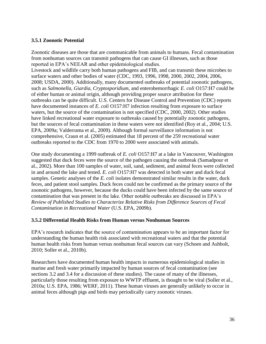#### <span id="page-41-0"></span>**3.5.1 Zoonotic Potential**

Zoonotic diseases are those that are communicable from animals to humans. Fecal contamination from nonhuman sources can transmit pathogens that can cause GI illnesses, such as those reported in EPA's NEEAR and other epidemiological studies.

Livestock and wildlife carry both human pathogens and FIB, and can transmit these microbes to surface waters and other bodies of water (CDC, 1993, 1996, 1998, 2000, 2002, 2004, 2006, 2008; USDA, 2000). Additionally, many documented outbreaks of potential zoonotic pathogens, such as *Salmonella, Giardia, Cryptosporidium,* and enterohemorrhagic *E. coli* O157:H7 could be of either human or animal origin, although providing proper source attribution for these outbreaks can be quite difficult. U.S. Centers for Disease Control and Prevention (CDC) reports have documented instances of *E. coli* O157:H7 infection resulting from exposure to surface waters, but the source of the contamination is not specified (CDC, 2000, 2002). Other studies have linked recreational water exposure to outbreaks caused by potentially zoonotic pathogens, but the sources of fecal contamination in these waters were not identified (Roy et al., 2004; U.S. EPA, 2009a; Valderrama et al., 2009). Although formal surveillance information is not comprehensive, Craun et al. (2005) estimated that 18 percent of the 259 recreational water outbreaks reported to the CDC from 1970 to 2000 were associated with animals.

One study documenting a 1999 outbreak of *E. coli* O157:H7 at a lake in Vancouver, Washington suggested that duck feces were the source of the pathogen causing the outbreak (Samadpour et al., 2002). More than 100 samples of water, soil, sand, sediment, and animal feces were collected in and around the lake and tested. *E. coli* O157:H7 was detected in both water and duck fecal samples. Genetic analyses of the *E. coli* isolates demonstrated similar results in the water, duck feces, and patient stool samples. Duck feces could not be confirmed as the primary source of the zoonotic pathogens, however, because the ducks could have been infected by the same source of contamination that was present in the lake. Other notable outbreaks are discussed in EPA's *Review of Published Studies to Characterize Relative Risks from Difference Sources of Fecal Contamination in Recreational Water* (U.S. EPA, 2009b).

#### <span id="page-41-1"></span>**3.5.2 Differential Health Risks from Human versus Nonhuman Sources**

EPA's research indicates that the source of contamination appears to be an important factor for understanding the human health risk associated with recreational waters and that the potential human health risks from human versus nonhuman fecal sources can vary (Schoen and Ashbolt, 2010; Soller et al., 2010b).

Researchers have documented human health impacts in numerous epidemiological studies in marine and fresh water primarily impacted by human sources of fecal contamination (see sections 3.2 and 3.4 for a discussion of these studies). The cause of many of the illnesses, particularly those resulting from exposure to WWTP effluent, is thought to be viral (Soller et al., 2010a; U.S. EPA, 1986; WERF, 2011). These human viruses are generally unlikely to occur in animal feces although pigs and birds may periodically carry zoonotic viruses.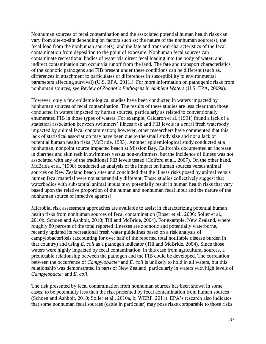Nonhuman sources of fecal contamination and the associated potential human health risks can vary from site-to-site depending on factors such as: the nature of the nonhuman source(s), the fecal load from the nonhuman source(s), and the fate and transport characteristics of the fecal contamination from deposition to the point of exposure. Nonhuman fecal sources can contaminate recreational bodies of water via direct fecal loading into the body of water, and indirect contamination can occur via runoff from the land. The fate and transport characteristics of the zoonotic pathogens and FIB present under these conditions can be different (such as, differences in attachment to particulates or differences in susceptibility to environmental parameters affecting survival) (U.S. EPA, 2011l). For more information on pathogenic risks from nonhuman sources, see *Review of Zoonotic Pathogens in Ambient Waters* (U.S. EPA, 2009a).

However, only a few epidemiological studies have been conducted in waters impacted by nonhuman sources of fecal contamination. The results of these studies are less clear than those conducted in waters impacted by human sources, particularly as related to conventionally enumerated FIB in those types of waters. For example, Calderon et al. (1991) found a lack of a statistical association between swimmers' illness risk and FIB levels in a rural fresh waterbody impacted by animal fecal contamination; however, other researchers have commented that this lack of statistical association may have been due to the small study size and not a lack of potential human health risks (McBride, 1993). Another epidemiological study conducted at a nonhuman, nonpoint source impacted beach at Mission Bay, California documented an increase in diarrhea and skin rash in swimmers versus non-swimmers, but the incidence of illness was not associated with any of the traditional FIB levels tested (Colford et al., 2007). On the other hand, McBride et al. (1998) conducted an analysis of the impact on human sources versus animal sources on New Zealand beach sites and concluded that the illness risks posed by animal versus human fecal material were not substantially different. These studies collectively suggest that waterbodies with substantial animal inputs may potentially result in human health risks that vary based upon the relative proportion of the human and nonhuman fecal input and the nature of the nonhuman source of infective agent(s).

Microbial risk assessment approaches are available to assist in characterizing potential human health risks from nonhuman sources of fecal contamination (Roser et al., 2006; Soller et al., 2010b; Schoen and Ashbolt, 2010; Till and McBride, 2004). For example, New Zealand, where roughly 80 percent of the total reported illnesses are zoonotic and potentially waterborne, recently updated its recreational fresh water guidelines based on a risk analysis of campylobacteriosis (accounting for over half of the reported total notifiable disease burden in that country) and using *E. coli* as a pathogen indicator (Till and McBride, 2004). Since those waters were highly impacted by fecal contamination, in this case from agricultural sources, a predictable relationship between the pathogen and the FIB could be developed. The correlation between the occurrence of *Campylobacter* and *E. coli* is unlikely to hold in all waters, but this relationship was demonstrated in parts of New Zealand, particularly in waters with high levels of *Campylobacter* and *E. coli*.

The risk presented by fecal contamination from nonhuman sources has been shown in some cases, to be potentially less than the risk presented by fecal contamination from human sources (Schoen and Ashbolt, 2010; Soller et al., 2010a, b; WERF, 2011). EPA's research also indicates that some nonhuman fecal sources (cattle in particular) may pose risks comparable to those risks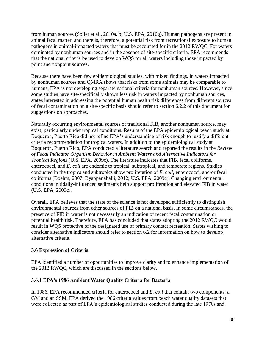from human sources (Soller et al., 2010a, b; U.S. EPA, 2010g). Human pathogens are present in animal fecal matter, and there is, therefore, a potential risk from recreational exposure to human pathogens in animal-impacted waters that must be accounted for in the 2012 RWQC. For waters dominated by nonhuman sources and in the absence of site-specific criteria, EPA recommends that the national criteria be used to develop WQS for all waters including those impacted by point and nonpoint sources.

Because there have been few epidemiological studies, with mixed findings, in waters impacted by nonhuman sources and QMRA shows that risks from some animals may be comparable to humans, EPA is not developing separate national criteria for nonhuman sources. However, since some studies have site-specifically shown less risk in waters impacted by nonhuman sources, states interested in addressing the potential human health risk differences from different sources of fecal contamination on a site-specific basis should refer to section 6.2.2 of this document for suggestions on approaches.

Naturally occurring environmental sources of traditional FIB, another nonhuman source, may exist, particularly under tropical conditions. Results of the EPA epidemiological beach study at Boquerón, Puerto Rico did not refine EPA's understanding of risk enough to justify a different criteria recommendation for tropical waters. In addition to the epidemiological study at Boquerón, Puerto Rico, EPA conducted a literature search and reported the results in the *Review of Fecal Indicator Organism Behavior in Ambient Waters and Alternative Indicators for Tropical Regions* (U.S. EPA, 2009c). The literature indicates that FIB, fecal coliforms, enterococci, and *E. coli* are endemic to tropical, subtropical, and temperate regions. Studies conducted in the tropics and subtropics show proliferation of *E. coli*, enterococci, and/or fecal coliforms (Boehm, 2007; Byappanahalli, 2012; U.S. EPA, 2009c). Changing environmental conditions in tidally-influenced sediments help support proliferation and elevated FIB in water (U.S. EPA, 2009c).

Overall, EPA believes that the state of the science is not developed sufficiently to distinguish environmental sources from other sources of FIB on a national basis. In some circumstances, the presence of FIB in water is not necessarily an indication of recent fecal contamination or potential health risk. Therefore, EPA has concluded that states adopting the 2012 RWQC would result in WQS protective of the designated use of primary contact recreation. States wishing to consider alternative indicators should refer to section 6.2 for information on how to develop alternative criteria.

# <span id="page-43-0"></span>**3.6 Expression of Criteria**

EPA identified a number of opportunities to improve clarity and to enhance implementation of the 2012 RWQC, which are discussed in the sections below.

#### <span id="page-43-1"></span>**3.6.1 EPA's 1986 Ambient Water Quality Criteria for Bacteria**

In 1986, EPA recommended criteria for enterococci and *E. coli* that contain two components: a GM and an SSM. EPA derived the 1986 criteria values from beach water quality datasets that were collected as part of EPA's epidemiological studies conducted during the late 1970s and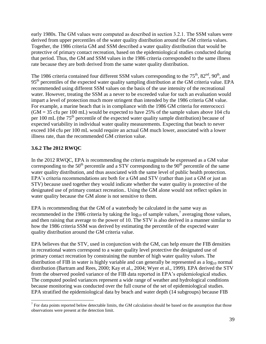early 1980s. The GM values were computed as described in section 3.2.1. The SSM values were derived from upper percentiles of the water quality distribution around the GM criteria values. Together, the 1986 criteria GM and SSM described a water quality distribution that would be protective of primary contact recreation, based on the epidemiological studies conducted during that period. Thus, the GM and SSM values in the 1986 criteria corresponded to the same illness rate because they are both derived from the same water quality distribution.

The 1986 criteria contained four different SSM values corresponding to the  $75<sup>th</sup>$ ,  $82<sup>nd</sup>$ ,  $90<sup>th</sup>$ , and 95<sup>th</sup> percentiles of the expected water quality sampling distribution at the GM criteria value. EPA recommended using different SSM values on the basis of the use intensity of the recreational water. However, treating the SSM as a never to be exceeded value for such an evaluation would impart a level of protection much more stringent than intended by the 1986 criteria GM value. For example, a marine beach that is in compliance with the 1986 GM criteria for enterococci  $(GM = 35 \text{ c}$ fu per 100 mL) would be expected to have 25% of the sample values above 104 cfu per 100 mL (the  $75<sup>th</sup>$  percentile of the expected water quality sample distribution) because of expected variability in individual water quality measurements. Expecting that beach to never exceed 104 cfu per 100 mL would require an actual GM much lower, associated with a lower illness rate, than the recommended GM criterion value.

# <span id="page-44-0"></span>**3.6.2 The 2012 RWQC**

In the 2012 RWQC, EPA is recommending the criteria magnitude be expressed as a GM value corresponding to the  $50<sup>th</sup>$  percentile and a STV corresponding to the  $90<sup>th</sup>$  percentile of the same water quality distribution, and thus associated with the same level of public health protection. EPA's criteria recommendations are both for a GM and STV (rather than just a GM or just an STV) because used together they would indicate whether the water quality is protective of the designated use of primary contact recreation.. Using the GM alone would not reflect spikes in water quality because the GM alone is not sensitive to them.

EPA is recommending that the GM of a waterbody be calculated in the same way as recommended in the 1986 criteria by taking the  $log_{10}$  of sample values,<sup>7</sup> averaging those values, and then raising that average to the power of 10. The STV is also derived in a manner similar to how the 1986 criteria SSM was derived by estimating the percentile of the expected water quality distribution around the GM criteria value.

EPA believes that the STV, used in conjunction with the GM, can help ensure the FIB densities in recreational waters correspond to a water quality level protective the designated use of primary contact recreation by constraining the number of high water quality values. The distribution of FIB in water is highly variable and can generally be represented as a  $log_{10}$  normal distribution (Bartram and Rees, 2000; Kay et al., 2004; Wyer et al., 1999). EPA derived the STV from the observed pooled variance of the FIB data reported in EPA's epidemiological studies. The computed pooled variances represent a wide range of weather and hydrological conditions because monitoring was conducted over the full course of the set of epidemiological studies. EPA stratified the epidemiological data by beach and water depth (14 subgroups) because FIB

 $\overline{\phantom{a}}$  $<sup>7</sup>$  For data points reported below detectable limits, the GM calculation should be based on the assumption that those</sup> observations were present at the detection limit.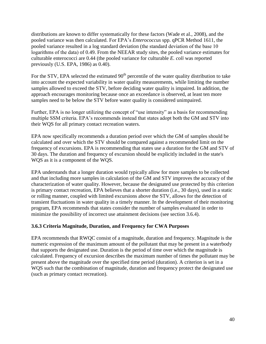distributions are known to differ systematically for these factors (Wade et al., 2008), and the pooled variance was then calculated. For EPA's *Enterococcus* spp. qPCR Method 1611, the pooled variance resulted in a log standard deviation (the standard deviation of the base 10 logarithms of the data) of 0.49. From the NEEAR study sites, the pooled variance estimates for culturable enterococci are 0.44 (the pooled variance for culturable *E. coli* was reported previously (U.S. EPA, 1986) as 0.40).

For the STV, EPA selected the estimated  $90<sup>th</sup>$  percentile of the water quality distribution to take into account the expected variability in water quality measurements, while limiting the number samples allowed to exceed the STV, before deciding water quality is impaired. In addition, the approach encourages monitoring because once an exceedance is observed, at least ten more samples need to be below the STV before water quality is considered unimpaired.

Further, EPA is no longer utilizing the concept of "use intensity" as a basis for recommending multiple SSM criteria. EPA's recommends instead that states adopt both the GM and STV into their WQS for all primary contact recreation waters.

EPA now specifically recommends a duration period over which the GM of samples should be calculated and over which the STV should be compared against a recommended limit on the frequency of excursions. EPA is recommending that states use a duration for the GM and STV of 30 days. The duration and frequency of excursion should be explicitly included in the state's WQS as it is a component of the WQS.

EPA understands that a longer duration would typically allow for more samples to be collected and that including more samples in calculation of the GM and STV improves the accuracy of the characterization of water quality. However, because the designated use protected by this criterion is primary contact recreation, EPA believes that a shorter duration (i.e., 30 days), used in a static or rolling manner, coupled with limited excursions above the STV, allows for the detection of transient fluctuations in water quality in a timely manner. In the development of their monitoring program, EPA recommends that states consider the number of samples evaluated in order to minimize the possibility of incorrect use attainment decisions (see section 3.6.4).

#### <span id="page-45-0"></span>**3.6.3 Criteria Magnitude, Duration, and Frequency for CWA Purposes**

EPA recommends that RWQC consist of a magnitude, duration and frequency. Magnitude is the numeric expression of the maximum amount of the pollutant that may be present in a waterbody that supports the designated use. Duration is the period of time over which the magnitude is calculated. Frequency of excursion describes the maximum number of times the pollutant may be present above the magnitude over the specified time period (duration). A criterion is set in a WQS such that the combination of magnitude, duration and frequency protect the designated use (such as primary contact recreation).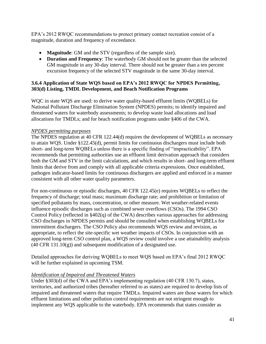EPA's 2012 RWQC recommendations to protect primary contact recreation consist of a magnitude, duration and frequency of exceedance.

- **Magnitude**: GM and the STV (regardless of the sample size).
- **Duration and Frequency**: The waterbody GM should not be greater than the selected GM magnitude in any 30-day interval. There should not be greater than a ten percent excursion frequency of the selected STV magnitude in the same 30-day interval.

## <span id="page-46-0"></span>**3.6.4 Application of State WQS based on EPA's 2012 RWQC for NPDES Permitting, 303(d) Listing, TMDL Development, and Beach Notification Programs**

WQC in state WQS are used: to derive water quality-based effluent limits (WQBELs) for National Pollutant Discharge Elimination System (NPDES) permits; to identify impaired and threatened waters for waterbody assessments; to develop waste load allocations and load allocations for TMDLs; and for beach notification programs under §406 of the CWA.

#### *NPDES permitting purposes*

The NPDES regulation at 40 CFR 122.44(d) requires the development of WQBELs as necessary to attain WQS. Under §122.45(d), permit limits for continuous dischargers must include both short- and long-term WQBELs unless there is a specific finding of "impracticability". EPA recommends that permitting authorities use an effluent limit derivation approach that considers both the GM and STV in the limit calculations, and which results in short- and long-term effluent limits that derive from and comply with all applicable criteria expressions. Once established, pathogen indicator-based limits for continuous dischargers are applied and enforced in a manner consistent with all other water quality parameters.

For non-continuous or episodic discharges, 40 CFR 122.45(e) requires WQBELs to reflect the frequency of discharge; total mass; maximum discharge rate; and prohibition or limitation of specified pollutants by mass, concentration, or other measure. Wet weather-related events influence episodic discharges such as combined sewer overflows (CSOs). The 1994 CSO Control Policy (reflected in §402(q) of the CWA) describes various approaches for addressing CSO discharges in NPDES permits and should be consulted when establishing WQBELs for intermittent dischargers. The CSO Policy also recommends WQS review and revision, as appropriate, to reflect the site-specific wet weather impacts of CSOs. In conjunction with an approved long-term CSO control plan, a WQS review could involve a use attainability analysis  $(40 \text{ CFR } 131.10(g))$  and subsequent modification of a designated use.

Detailed approaches for deriving WQBELs to meet WQS based on EPA's final 2012 RWQC will be further explained in upcoming TSM.

#### *Identification of Impaired and Threatened Waters*

Under [§303\(d\)](http://water.epa.gov/lawsregs/lawsguidance/cwa/tmdl/glossary.cfm#section303d) of the CWA and EPA's implementing regulation (40 CFR 130.7), states, territories, and authorized tribes (hereafter referred to as states) are required to develop lists of [impaired and threatened waters](http://water.epa.gov/lawsregs/lawsguidance/cwa/tmdl/glossary.cfm#303dthreatenedimpairedwaters) that require TMDLs. Impaired waters are those waters for which effluent limitations and other pollution control requirements are not stringent enough to implement any WQS applicable to the waterbody. EPA recommends that states consider as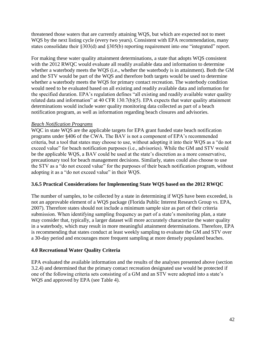threatened those waters that are currently attaining WQS, but which are expected not to meet WQS by the next listing cycle (every two years). Consistent with EPA recommendation, many states consolidate their §303(d) and §305(b) reporting requirement into one "integrated" report.

For making these water quality attainment determinations, a state that adopts WQS consistent with the 2012 RWQC would evaluate all readily available data and information to determine whether a waterbody meets the WQS (i.e., whether the waterbody is in attainment). Both the GM and the STV would be part of the WQS and therefore both targets would be used to determine whether a waterbody meets the WQS for primary contact recreation. The waterbody condition would need to be evaluated based on all existing and readily available data and information for the specified duration. EPA's regulation defines "all existing and readily available water quality related data and information" at 40 CFR 130.7(b)(5). EPA expects that water quality attainment determinations would include water quality monitoring data collected as part of a beach notification program, as well as information regarding beach closures and advisories.

#### *Beach Notification Programs*

WQC in state WQS are the applicable targets for EPA grant funded state beach notification programs under §406 of the CWA. The BAV is not a component of EPA's recommended criteria, but a tool that states may choose to use, without adopting it into their WQS as a "do not exceed value" for beach notification purposes (i.e., advisories). While the GM and STV would be the applicable WQS, a BAV could be used at the state's discretion as a more conservative, precautionary tool for beach management decisions. Similarly, states could also choose to use the STV as a "do not exceed value" for the purposes of their beach notification program, without adopting it as a "do not exceed value" in their WQS.

# <span id="page-47-0"></span>**3.6.5 Practical Considerations for Implementing State WQS based on the 2012 RWQC**

The number of samples, to be collected by a state in determining if WQS have been exceeded, is not an approvable element of a WQS package (Florida Public Interest Research Group vs. EPA, 2007). Therefore states should not include a minimum sample size as part of their criteria submission. When identifying sampling frequency as part of a state's monitoring plan, a state may consider that, typically, a larger dataset will more accurately characterize the water quality in a waterbody, which may result in more meaningful attainment determinations. Therefore, EPA is recommending that states conduct at least weekly sampling to evaluate the GM and STV over a 30-day period and encourages more frequent sampling at more densely populated beaches.

# <span id="page-47-1"></span>**4.0 Recreational Water Quality Criteria**

EPA evaluated the available information and the results of the analyses presented above (section 3.2.4) and determined that the primary contact recreation designated use would be protected if one of the following criteria sets consisting of a GM and an STV were adopted into a state's WQS and approved by EPA (see Table 4).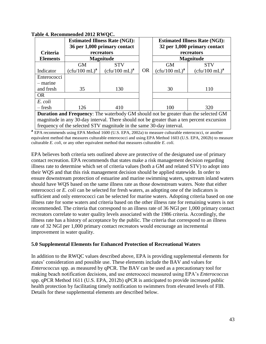| Criteria                                                                             | <b>Estimated Illness Rate (NGI):</b><br>36 per 1,000 primary contact<br>recreators |                  |           | <b>Estimated Illness Rate (NGI):</b><br>32 per 1,000 primary contact<br>recreators |                  |  |  |
|--------------------------------------------------------------------------------------|------------------------------------------------------------------------------------|------------------|-----------|------------------------------------------------------------------------------------|------------------|--|--|
| <b>Elements</b>                                                                      |                                                                                    | <b>Magnitude</b> |           | <b>Magnitude</b>                                                                   |                  |  |  |
|                                                                                      | <b>GM</b>                                                                          | <b>STV</b>       |           | <b>GM</b>                                                                          | <b>STV</b>       |  |  |
| Indicator                                                                            | $(c \text{fu}/100 \text{ mL})^{\text{a}}$                                          | $(cfu/100 mL)^a$ | <b>OR</b> | $(cfu/100 mL)^a$                                                                   | $(cfu/100 mL)^a$ |  |  |
| Enterococci                                                                          |                                                                                    |                  |           |                                                                                    |                  |  |  |
| – marine                                                                             |                                                                                    |                  |           |                                                                                    |                  |  |  |
| and fresh                                                                            | 35                                                                                 | 130              |           | 30<br>110                                                                          |                  |  |  |
| <b>OR</b>                                                                            |                                                                                    |                  |           |                                                                                    |                  |  |  |
| E. coli                                                                              |                                                                                    |                  |           |                                                                                    |                  |  |  |
| – fresh                                                                              | 126                                                                                | 410              |           | 100                                                                                | 320              |  |  |
| Departing and Freeman The moterly dr. CM should not be quester than the solarited CM |                                                                                    |                  |           |                                                                                    |                  |  |  |

#### **Table 4. Recommended 2012 RWQC.**

**Duration and Frequency**: The waterbody GM should not be greater than the selected GM magnitude in any 30-day interval. There should not be greater than a ten percent excursion frequency of the selected STV magnitude in the same 30-day interval.

**a** EPA recommends using EPA Method 1600 (U.S. EPA, 2002a) to measure culturable enterococci, or another equivalent method that measures culturable enterococci and using EPA Method 1603 (U.S. EPA, 2002b) to measure culturable *E. coli*, or any other equivalent method that measures culturable *E. coli.*

EPA believes both criteria sets outlined above are protective of the designated use of primary contact recreation. EPA recommends that states make a risk management decision regarding illness rate to determine which set of criteria values (both a GM and related STV) to adopt into their WQS and that this risk management decision should be applied statewide. In order to ensure downstream protection of estuarine and marine swimming waters, upstream inland waters should have WQS based on the same illness rate as those downstream waters. Note that either enterococci or *E. coli* can be selected for fresh waters, as adopting one of the indicators is sufficient and only enterococci can be selected for marine waters. Adopting criteria based on one illness rate for some waters and criteria based on the other illness rate for remaining waters is not recommended. The criteria that correspond to an illness rate of 36 NGI per 1,000 primary contact recreators correlate to water quality levels associated with the 1986 criteria. Accordingly, the illness rate has a history of acceptance by the public. The criteria that correspond to an illness rate of 32 NGI per 1,000 primary contact recreators would encourage an incremental improvement in water quality.

#### <span id="page-48-0"></span>**5.0 Supplemental Elements for Enhanced Protection of Recreational Waters**

In addition to the RWQC values described above, EPA is providing supplemental elements for states' consideration and possible use. These elements include the BAV and values for *Enterococcus* spp. as measured by qPCR. The BAV can be used as a precautionary tool for making beach notification decisions, and use enterococci measured using EPA's *Enterococcus* spp. qPCR Method 1611 (U.S. EPA, 2012b) qPCR is anticipated to provide increased public health protection by facilitating timely notification to swimmers from elevated levels of FIB. Details for these supplemental elements are described below.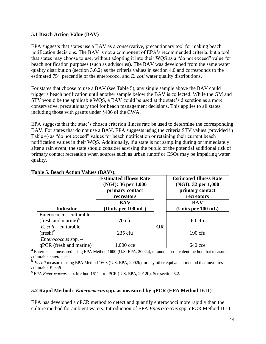#### <span id="page-49-0"></span>**5.1 Beach Action Value (BAV)**

EPA suggests that states use a BAV as a conservative, precautionary tool for making beach notification decisions. The BAV is not a component of EPA's recommended criteria, but a tool that states may choose to use, without adopting it into their WQS as a "do not exceed" value for beach notification purposes (such as advisories). The BAV was developed from the same water quality distribution (section 3.6.2) as the criteria values in section 4.0 and corresponds to the estimated 75<sup>th</sup> percentile of the enterococci and *E. coli* water quality distributions.

For states that choose to use a BAV (see Table 5), any single sample above the BAV could trigger a beach notification until another sample below the BAV is collected. While the GM and STV would be the applicable WQS, a BAV could be used at the state's discretion as a more conservative, precautionary tool for beach management decisions. This applies to all states, including those with grants under §406 of the CWA.

EPA suggests that the state's chosen criterion illness rate be used to determine the corresponding BAV. For states that do not use a BAV, EPA suggests using the criteria STV values (provided in Table 4) as "do not exceed" values for beach notification or retaining their current beach notification values in their WQS. Additionally, if a state is not sampling during or immediately after a rain event, the state should consider advising the public of the potential additional risk of primary contact recreation when sources such as urban runoff or CSOs may be impairing water quality.

| <b>Estimated Illness Rate</b><br>(NGI): 36 per 1,000<br>primary contact<br>recreators |                                  |           | <b>Estimated Illness Rate</b><br>(NGI): 32 per 1,000<br>primary contact<br>recreators |
|---------------------------------------------------------------------------------------|----------------------------------|-----------|---------------------------------------------------------------------------------------|
| <b>Indicator</b>                                                                      | <b>BAV</b><br>(Units per 100 mL) |           | <b>BAV</b><br>(Units per 100 mL)                                                      |
| Enterococci – culturable                                                              |                                  |           |                                                                                       |
| (fresh and marine) <sup>a</sup>                                                       | $70$ cfu                         |           | $60$ cfu                                                                              |
| $E.$ <i>coli</i> – culturable                                                         |                                  | <b>OR</b> |                                                                                       |
| $(fresh)^b$                                                                           | $235$ cfu                        |           | $190$ cfu                                                                             |
| $Enterococcus$ spp. $-$                                                               |                                  |           |                                                                                       |
| $qPCR$ (fresh and marine) <sup>c</sup>                                                | 1,000 cce                        |           | $640$ cce                                                                             |

**Table 5. Beach Action Values (BAVs).**

**a** Enterococci measured using EPA Method 1600 (U.S. EPA, 2002a), or another equivalent method that measures culturable enterococci.

**b** E. coli measured using EPA Method 1603 (U.S. EPA, 2002b), or any other equivalent method that measures culturable *E. coli.*

<span id="page-49-1"></span>**<sup>c</sup>**EPA *Enterococcus* spp. Method 1611 for qPCR (U.S. EPA, 2012b). See section 5.2.

#### **5.2 Rapid Method:** *Enterococcus* **spp. as measured by qPCR (EPA Method 1611)**

EPA has developed a qPCR method to detect and quantify enterococci more rapidly than the culture method for ambient waters. Introduction of EPA *Enterococcus* spp. qPCR Method 1611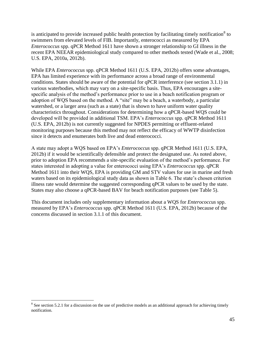is anticipated to provide increased public health protection by facilitating timely notification<sup>8</sup> to swimmers from elevated levels of FIB. Importantly, enterococci as measured by EPA *Enterococcus* spp. qPCR Method 1611 have shown a stronger relationship to GI illness in the recent EPA NEEAR epidemiological study compared to other methods tested (Wade et al., 2008; U.S. EPA, 2010a, 2012b).

While EPA *Enterococcus* spp. qPCR Method 1611 (U.S. EPA, 2012b) offers some advantages, EPA has limited experience with its performance across a broad range of environmental conditions. States should be aware of the potential for qPCR interference (see section 3.1.1) in various waterbodies, which may vary on a site-specific basis. Thus, EPA encourages a sitespecific analysis of the method's performance prior to use in a beach notification program or adoption of WQS based on the method. A "site" may be a beach, a waterbody, a particular watershed, or a larger area (such as a state) that is shown to have uniform water quality characteristics throughout. Considerations for determining how a qPCR-based WQS could be developed will be provided in additional TSM. EPA's *Enterococcus* spp. qPCR Method 1611 (U.S. EPA, 2012b) is not currently suggested for NPDES permitting or effluent-related monitoring purposes because this method may not reflect the efficacy of WWTP disinfection since it detects and enumerates both live and dead enterococci.

A state may adopt a WQS based on EPA's *Enterococcus* spp. qPCR Method 1611 (U.S. EPA, 2012b) if it would be scientifically defensible and protect the designated use. As noted above, prior to adoption EPA recommends a site-specific evaluation of the method's performance. For states interested in adopting a value for enterococci using EPA's *Enterococcus* spp. qPCR Method 1611 into their WQS, EPA is providing GM and STV values for use in marine and fresh waters based on its epidemiological study data as shown in Table 6. The state's chosen criterion illness rate would determine the suggested corresponding qPCR values to be used by the state. States may also choose a qPCR-based BAV for beach notification purposes (see Table 5).

This document includes only supplementary information about a WQS for *Enterococcus* spp. measured by EPA's *Enterococcus* spp. qPCR Method 1611 (U.S. EPA, 2012b) because of the concerns discussed in section 3.1.1 of this document.

<sup>&</sup>lt;sup>8</sup> See section 5.2.1 for a discussion on the use of predictive models as an additional approach for achieving timely notification.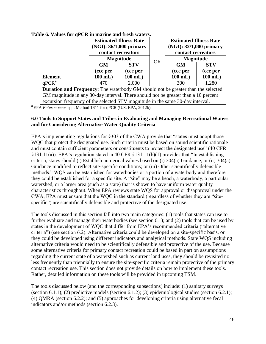|                                                                                                                                                                      | <b>Estimated Illness Rate</b><br>(NGI): 36/1,000 primary<br>contact recreators<br><b>Magnitude</b><br><b>STV</b><br><b>GM</b><br>(cce per<br>(cce per<br>$100$ mL)<br>$100$ mL) |       |           | <b>Estimated Illness Rate</b><br>(NGI): 32/1,000 primary<br>contact recreators<br><b>Magnitude</b> |            |  |
|----------------------------------------------------------------------------------------------------------------------------------------------------------------------|---------------------------------------------------------------------------------------------------------------------------------------------------------------------------------|-------|-----------|----------------------------------------------------------------------------------------------------|------------|--|
|                                                                                                                                                                      |                                                                                                                                                                                 |       | <b>OR</b> | <b>GM</b>                                                                                          | <b>STV</b> |  |
|                                                                                                                                                                      |                                                                                                                                                                                 |       |           | (cce per                                                                                           | (cce per   |  |
| <b>Element</b>                                                                                                                                                       |                                                                                                                                                                                 |       |           | $100$ mL)                                                                                          | $100$ mL)  |  |
| qPCR <sup>a</sup>                                                                                                                                                    | 470                                                                                                                                                                             | 2,000 | 300       |                                                                                                    | 1,280      |  |
| <b>Duration and Frequency:</b> The waterbody GM should not be greater than the selected                                                                              |                                                                                                                                                                                 |       |           |                                                                                                    |            |  |
| GM magnitude in any 30-day interval. There should not be greater than a 10 percent<br>excursion frequency of the selected STV magnitude in the same 30-day interval. |                                                                                                                                                                                 |       |           |                                                                                                    |            |  |

#### **Table 6. Values for qPCR in marine and fresh waters.**

**a** EPA *Enterococcus* spp. Method 1611 for qPCR (U.S. EPA, 2012b).

#### <span id="page-51-0"></span>**6.0 Tools to Support States and Tribes in Evaluating and Managing Recreational Waters and for Considering Alternative Water Quality Criteria**

EPA's implementing regulations for §303 of the CWA provide that "states must adopt those WQC that protect the designated use. Such criteria must be based on sound scientific rationale and must contain sufficient parameters or constituents to protect the designated use" (40 CFR  $\S 131.11(a)$ ). EPA's regulation stated in 40 CFR  $\S 131.11(b)(1)$  provides that "In establishing criteria, states should (i) Establish numerical values based on (i) 304(a) Guidance; or (ii) 304(a) Guidance modified to reflect site-specific conditions; or (iii) Other scientifically defensible methods." WQS can be established for waterbodies or a portion of a waterbody and therefore they could be established for a specific site. A "site" may be a beach, a waterbody, a particular watershed, or a larger area (such as a state) that is shown to have uniform water quality characteristics throughout. When EPA reviews state WQS for approval or disapproval under the CWA, EPA must ensure that the WQC in the standard (regardless of whether they are "sitespecific") are scientifically defensible and protective of the designated use.

The tools discussed in this section fall into two main categories: (1) tools that states can use to further evaluate and manage their waterbodies (see section 6.1); and (2) tools that can be used by states in the development of WQC that differ from EPA's recommended criteria ("alternative criteria") (see section 6.2). Alternative criteria could be developed on a site-specific basis, or they could be developed using different indicators and analytical methods. State WQS including alternative criteria would need to be scientifically defensible and protective of the use. Because some alternative criteria for primary contact recreation could be based in part on assumptions regarding the current state of a watershed such as current land uses, they should be revisited no less frequently than triennially to ensure the site-specific criteria remain protective of the primary contact recreation use. This section does not provide details on how to implement these tools. Rather, detailed information on these tools will be provided in upcoming TSM.

The tools discussed below (and the corresponding subsections) include: (1) sanitary surveys (section 6.1.1); (2) predictive models (section 6.1.2); (3) epidemiological studies (section 6.2.1); (4) QMRA (section 6.2.2); and (5) approaches for developing criteria using alternative fecal indicators and/or methods (section 6.2.3).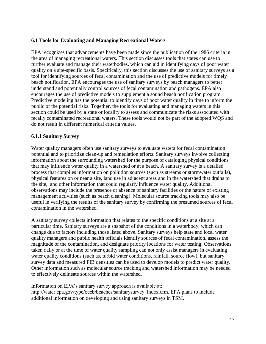#### <span id="page-52-0"></span>**6.1 Tools for Evaluating and Managing Recreational Waters**

EPA recognizes that advancements have been made since the publication of the 1986 criteria in the area of managing recreational waters. This section discusses tools that states can use to further evaluate and manage their waterbodies, which can aid in identifying days of poor water quality on a site-specific basis. Specifically, this section discusses the use of sanitary surveys as a tool for identifying sources of fecal contamination and the use of predictive models for timely beach notification. EPA encourages the use of sanitary surveys by beach managers to better understand and potentially control sources of fecal contamination and pathogens. EPA also encourages the use of predictive models to supplement a sound beach notification program. Predictive modeling has the potential to identify days of poor water quality in time to inform the public of the potential risks. Together, the tools for evaluating and managing waters in this section could be used by a state or locality to assess and communicate the risks associated with fecally contaminated recreational waters. These tools would not be part of the adopted WQS and do not result in different numerical criteria values.

#### <span id="page-52-1"></span>**6.1.1 Sanitary Survey**

Water quality managers often use sanitary surveys to evaluate waters for fecal contamination potential and to prioritize clean-up and remediation efforts. Sanitary surveys involve collecting information about the surrounding watershed for the purpose of cataloging physical conditions that may influence water quality in a watershed or at a beach. A sanitary survey is a detailed process that compiles information on pollution sources (such as streams or stormwater outfalls), physical features on or near a site, land use in adjacent areas and in the watershed that drains to the site, and other information that could regularly influence water quality. Additional observations may include the presence or absence of sanitary facilities or the nature of existing management activities (such as beach cleaning). Molecular source tracking tools may also be useful in verifying the results of the sanitary survey by confirming the presumed sources of fecal contamination in the watershed.

A sanitary survey collects information that relates to the specific conditions at a site at a particular time. Sanitary surveys are a snapshot of the conditions in a waterbody, which can change due to factors including those listed above. Sanitary surveys help state and local water quality managers and public health officials identify sources of fecal contamination, assess the magnitude of the contamination, and designate priority locations for water testing. Observations taken daily or at the time of water quality sampling can not only assist managers in evaluating water quality conditions (such as, turbid water conditions, rainfall, source flow), but sanitary survey data and measured FIB densities can be used to develop models to predict water quality. Other information such as molecular source tracking and watershed information may be needed to effectively delineate sources within the watershed.

Information on EPA's sanitary survey approach is available at: http://water.epa.gov/type/oceb/beaches/sanitarysurvey\_index.cfm. EPA plans to include additional information on developing and using sanitary surveys in TSM.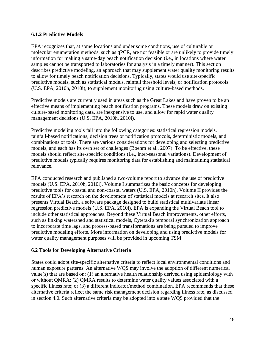## <span id="page-53-0"></span>**6.1.2 Predictive Models**

EPA recognizes that, at some locations and under some conditions, use of culturable or molecular enumeration methods, such as qPCR, are not feasible or are unlikely to provide timely information for making a same-day beach notification decision (i.e., in locations where water samples cannot be transported to laboratories for analysis in a timely manner). This section describes predictive modeling, an approach that may supplement water quality monitoring results to allow for timely beach notification decisions. Typically, states would use site-specific predictive models, such as statistical models, rainfall threshold levels, or notification protocols (U.S. EPA, 2010h, 2010i), to supplement monitoring using culture-based methods.

Predictive models are currently used in areas such as the Great Lakes and have proven to be an effective means of implementing beach notification programs. These models draw on existing culture-based monitoring data, are inexpensive to use, and allow for rapid water quality management decisions (U.S. EPA, 2010h, 2010i).

Predictive modeling tools fall into the following categories: statistical regression models, rainfall-based notifications, decision trees or notification protocols, deterministic models, and combinations of tools. There are various considerations for developing and selecting predictive models, and each has its own set of challenges (Boehm et al., 2007). To be effective, these models should reflect site-specific conditions (i.e., inter-seasonal variations). Development of predictive models typically requires monitoring data for establishing and maintaining statistical relevance.

EPA conducted research and published a two-volume report to advance the use of predictive models (U.S. EPA, 2010h, 2010i). Volume I summarizes the basic concepts for developing predictive tools for coastal and non-coastal waters (U.S. EPA, 2010h). Volume II provides the results of EPA's research on the development of statistical models at research sites. It also presents Virtual Beach, a software package designed to build statistical multivariate linear regression predictive models (U.S. EPA, 2010i). EPA is expanding the Virtual Beach tool to include other statistical approaches. Beyond these Virtual Beach improvements, other efforts, such as linking watershed and statistical models, Cyterski's temporal synchronization approach to incorporate time lags, and process-based transformations are being pursued to improve predictive modeling efforts. More information on developing and using predictive models for water quality management purposes will be provided in upcoming TSM.

# <span id="page-53-1"></span>**6.2 Tools for Developing Alternative Criteria**

States could adopt site-specific alternative criteria to reflect local environmental conditions and human exposure patterns. An alternative WQS may involve the adoption of different numerical value(s) that are based on: (1) an alternative health relationship derived using epidemiology with or without QMRA; (2) QMRA results to determine water quality values associated with a specific illness rate; or (3) a different indicator/method combination. EPA recommends that these alternative criteria reflect the same risk management decision regarding illness rate, as discussed in section 4.0. Such alternative criteria may be adopted into a state WQS provided that the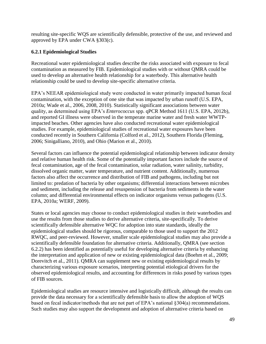resulting site-specific WQS are scientifically defensible, protective of the use, and reviewed and approved by EPA under CWA §303(c).

## <span id="page-54-0"></span>**6.2.1 Epidemiological Studies**

Recreational water epidemiological studies describe the risks associated with exposure to fecal contamination as measured by FIB. Epidemiological studies with or without QMRA could be used to develop an alternative health relationship for a waterbody. This alternative health relationship could be used to develop site-specific alternative criteria.

EPA's NEEAR epidemiological study were conducted in water primarily impacted human fecal contamination, with the exception of one site that was impacted by urban runoff (U.S. EPA, 2010a; Wade et al., 2006, 2008, 2010). Statistically significant associations between water quality, as determined using EPA's *Enterococcus* spp. qPCR Method 1611 (U.S. EPA, 2012b), and reported GI illness were observed in the temperate marine water and fresh water WWTPimpacted beaches. Other agencies have also conducted recreational water epidemiological studies. For example, epidemiological studies of recreational water exposures have been conducted recently in Southern California (Colford et al., 2012), Southern Florida (Fleming, 2006; Sinigalliano, 2010), and Ohio (Marion et al., 2010).

Several factors can influence the potential epidemiological relationship between indicator density and relative human health risk. Some of the potentially important factors include the source of fecal contamination, age of the fecal contamination, solar radiation, water salinity, turbidity, dissolved organic matter, water temperature, and nutrient content. Additionally, numerous factors also affect the occurrence and distribution of FIB and pathogens, including but not limited to: predation of bacteria by other organisms; differential interactions between microbes and sediment, including the release and resuspension of bacteria from sediments in the water column; and differential environmental effects on indicator organisms versus pathogens (U.S. EPA, 2010a; WERF, 2009).

States or local agencies may choose to conduct epidemiological studies in their waterbodies and use the results from those studies to derive alternative criteria, site-specifically. To derive scientifically defensible alternative WQC for adoption into state standards, ideally the epidemiological studies should be rigorous, comparable to those used to support the 2012 RWQC, and peer-reviewed. However, smaller scale epidemiological studies may also provide a scientifically defensible foundation for alternative criteria. Additionally, QMRA (see section 6.2.2) has been identified as potentially useful for developing alternative criteria by enhancing the interpretation and application of new or existing epidemiological data (Boehm et al., 2009; Dorevitch et al., 2011). QMRA can supplement new or existing epidemiological results by characterizing various exposure scenarios, interpreting potential etiological drivers for the observed epidemiological results, and accounting for differences in risks posed by various types of FIB sources.

Epidemiological studies are resource intensive and logistically difficult, although the results can provide the data necessary for a scientifically defensible basis to allow the adoption of WQS based on fecal indicator/methods that are not part of EPA's national §304(a) recommendations. Such studies may also support the development and adoption of alternative criteria based on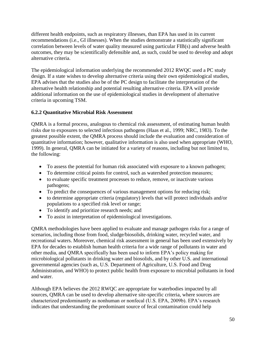different health endpoints, such as respiratory illnesses, than EPA has used in its current recommendations (i.e., GI illnesses). When the studies demonstrate a statistically significant correlation between levels of water quality measured using particular FIB(s) and adverse health outcomes, they may be scientifically defensible and, as such, could be used to develop and adopt alternative criteria.

The epidemiological information underlying the recommended 2012 RWQC used a PC study design. If a state wishes to develop alternative criteria using their own epidemiological studies, EPA advises that the studies also be of the PC design to facilitate the interpretation of the alternative health relationship and potential resulting alternative criteria. EPA will provide additional information on the use of epidemiological studies in development of alternative criteria in upcoming TSM.

# <span id="page-55-0"></span>**6.2.2 Quantitative Microbial Risk Assessment**

QMRA is a formal process, analogous to chemical risk assessment, of estimating human health risks due to exposures to selected infectious pathogens (Haas et al., 1999; NRC, 1983). To the greatest possible extent, the QMRA process should include the evaluation and consideration of quantitative information; however, qualitative information is also used when appropriate (WHO, 1999). In general, QMRA can be initiated for a variety of reasons, including but not limited to, the following:

- To assess the potential for human risk associated with exposure to a known pathogen;
- To determine critical points for control, such as watershed protection measures;
- to evaluate specific treatment processes to reduce, remove, or inactivate various pathogens;
- To predict the consequences of various management options for reducing risk;
- to determine appropriate criteria (regulatory) levels that will protect individuals and/or populations to a specified risk level or range;
- To identify and prioritize research needs; and
- To assist in interpretation of epidemiological investigations.

QMRA methodologies have been applied to evaluate and manage pathogen risks for a range of scenarios, including those from food, sludge/biosolids, drinking water, recycled water, and recreational waters. Moreover, chemical risk assessment in general has been used extensively by EPA for decades to establish human health criteria for a wide range of pollutants in water and other media, and QMRA specifically has been used to inform EPA's policy making for microbiological pollutants in drinking water and biosolids, and by other U.S. and international governmental agencies (such as, U.S. Department of Agriculture, U.S. Food and Drug Administration, and WHO) to protect public health from exposure to microbial pollutants in food and water.

Although EPA believes the 2012 RWQC are appropriate for waterbodies impacted by all sources, QMRA can be used to develop alternative site-specific criteria, where sources are characterized predominantly as nonhuman or nonfecal (U.S. EPA, 2009b). EPA's research indicates that understanding the predominant source of fecal contamination could help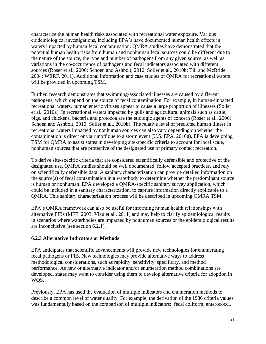characterize the human health risks associated with recreational water exposure. Various epidemiological investigations, including EPA's have documented human health effects in waters impacted by human fecal contamination. QMRA studies have demonstrated that the potential human health risks from human and nonhuman fecal sources could be different due to the nature of the source, the type and number of pathogens from any given source, as well as variations in the co-occurrence of pathogens and fecal indicators associated with different sources (Roser et al., 2006; Schoen and Ashbolt, 2010; Soller et al., 2010b; Till and McBride, 2004; WERF, 2011). Additional information and case studies of QMRA for recreational waters will be provided in upcoming TSM.

Further, research demonstrates that swimming-associated illnesses are caused by different pathogens, which depend on the source of fecal contamination. For example, in human-impacted recreational waters, human enteric viruses appear to cause a large proportion of illnesses (Soller et al., 2010a). In recreational waters impacted by gulls and agricultural animals such as cattle, pigs, and chickens, bacteria and protozoa are the etiologic agents of concern (Roser et al., 2006; Schoen and Ashbolt, 2010; Soller et al., 2010b). The relative level of predicted human illness in recreational waters impacted by nonhuman sources can also vary depending on whether the contamination is direct or via runoff due to a storm event (U.S. EPA, 2010g). EPA is developing TSM for QMRA to assist states in developing site-specific criteria to account for local scale, nonhuman sources that are protective of the designated use of primary contact recreation.

To derive site-specific criteria that are considered scientifically defensible and protective of the designated use, QMRA studies should be well documented, follow accepted practices, and rely on scientifically defensible data. A sanitary characterization can provide detailed information on the source(s) of fecal contamination in a waterbody to determine whether the predominant source is human or nonhuman. EPA developed a QMRA-specific sanitary survey application, which could be included in a sanitary characterization, to capture information directly applicable to a QMRA. This sanitary characterization process will be described in upcoming QMRA TSM.

EPA's QMRA framework can also be useful for informing human health relationships with alternative FIBs (MFE, 2003; Viau et al., 2011) and may help to clarify epidemiological results in scenarios where waterbodies are impacted by nonhuman sources or the epidemiological results are inconclusive (see section 6.2.1).

#### <span id="page-56-0"></span>**6.2.3 Alternative Indicators or Methods**

EPA anticipates that scientific advancements will provide new technologies for enumerating fecal pathogens or FIB. New technologies may provide alternative ways to address methodological considerations, such as rapidity, sensitivity, specificity, and method performance. As new or alternative indicator and/or enumeration method combinations are developed, states may want to consider using them to develop alternative criteria for adoption in WQS.

Previously, EPA has used the evaluation of multiple indicators and enumeration methods to describe a common level of water quality. For example, the derivation of the 1986 criteria values was fundamentally based on the comparison of multiple indicators: fecal coliform, enterococci,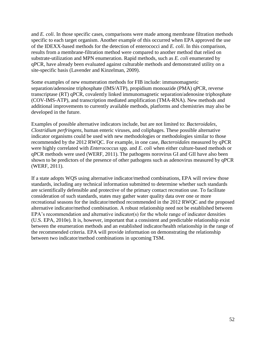and *E. coli*. In those specific cases, comparisons were made among membrane filtration methods specific to each target organism. Another example of this occurred when EPA approved the use of the IDEXX-based methods for the detection of enterococci and *E. coli*. In this comparison, results from a membrane-filtration method were compared to another method that relied on substrate-utilization and MPN enumeration. Rapid methods, such as *E. coli* enumerated by qPCR*,* have already been evaluated against culturable methods and demonstrated utility on a site-specific basis (Lavender and Kinzelman, 2009).

Some examples of new enumeration methods for FIB include: immunomagnetic separation/adenosine triphosphate (IMS/ATP), propidium monoazide (PMA) qPCR, reverse transcriptase (RT) qPCR, covalently linked immunomagnetic separation/adenosine triphosphate (COV-IMS-ATP), and transcription mediated amplification (TMA-RNA). New methods and additional improvements to currently available methods, platforms and chemistries may also be developed in the future.

Examples of possible alternative indicators include, but are not limited to: *Bacteroidales*, *Clostridium perfringens*, human enteric viruses, and coliphages. These possible alternative indicator organisms could be used with new methodologies or methodologies similar to those recommended by the 2012 RWQC. For example, in one case, *Bacteroidales* measured by qPCR were highly correlated with *Enterococcus* spp. and *E. coli* when either culture-based methods or qPCR methods were used (WERF, 2011). The pathogens norovirus GI and GII have also been shown to be predictors of the presence of other pathogens such as adenovirus measured by qPCR (WERF, 2011).

If a state adopts WQS using alternative indicator/method combinations, EPA will review those standards, including any technical information submitted to determine whether such standards are scientifically defensible and protective of the primary contact recreation use. To facilitate consideration of such standards, states may gather water quality data over one or more recreational seasons for the indicator/method recommended in the 2012 RWQC and the proposed alternative indicator/method combination. A robust relationship need not be established between EPA's recommendation and alternative indicator(s) for the whole range of indicator densities (U.S. EPA, 2010e). It is, however, important that a consistent and predictable relationship exist between the enumeration methods and an established indicator/health relationship in the range of the recommended criteria. EPA will provide information on demonstrating the relationship between two indicator/method combinations in upcoming TSM.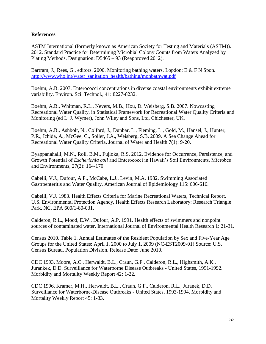#### <span id="page-58-0"></span>**References**

ASTM International (formerly known as American Society for Testing and Materials (ASTM)). 2012. Standard Practice for Determining Microbial Colony Counts from Waters Analyzed by Plating Methods. Designation: D5465 – 93 (Reapproved 2012).

Bartram, J., Rees, G., editors. 2000. Monitoring bathing waters. Lopdon: E & F N Spon. http://www.who.int/water\_sanitation\_health/bathing/monbathwat.pdf

Boehm, A.B. 2007. Enterococci concentrations in diverse coastal environments exhibit extreme variability. Environ. Sci. Technol., 41: 8227-8232.

Boehm, A.B., Whitman, R.L., Nevers, M.B., Hou, D. Weisberg, S.B. 2007. Nowcasting Recreational Water Quality, in Statistical Framework for Recreational Water Quality Criteria and Monitoring (ed L. J. Wymer), John Wiley and Sons, Ltd, Chichester, UK.

Boehm, A.B., Ashbolt, N., Colford, J., Dunbar, L., Fleming, L., Gold, M., Hansel, J., Hunter, P.R., Ichida, A., McGee, C., Soller, J.A., Weisberg, S.B. 2009. A Sea Change Ahead for Recreational Water Quality Criteria. Journal of Water and Health 7(1): 9-20.

Byappanahalli, M.N., Roll, B.M., Fujioka, R.S. 2012. Evidence for Occurrence, Persistence, and Growth Potential of *Escherichia coli* and Enterococci in Hawaii's Soil Environments. Microbes and Environments, 27(2): 164-170.

Cabelli, V.J., Dufour, A.P., McCabe, L.J., Levin, M.A. 1982. Swimming Associated Gastroenteritis and Water Quality. American Journal of Epidemiology 115: 606-616.

Cabelli, V.J. 1983. Health Effects Criteria for Marine Recreational Waters, Technical Report. U.S. Environmental Protection Agency, Health Effects Research Laboratory: Research Triangle Park, NC. EPA 600/1-80-031.

Calderon, R.L., Mood, E.W., Dufour, A.P. 1991. Health effects of swimmers and nonpoint sources of contaminated water. International Journal of Environmental Health Research 1: 21-31.

Census 2010. Table 1. Annual Estimates of the Resident Population by Sex and Five-Year Age Groups for the United States: April 1, 2000 to July 1, 2009 (NC-EST2009-01) Source: U.S. Census Bureau, Population Division. Release Date: June 2010.

CDC 1993. Moore, A.C., Herwaldt, B.L., Craun, G.F., Calderon, R.L., Highsmith, A.K., Jurankek, D.D. Surveillance for Waterborne Disease Outbreaks - United States, 1991-1992. Morbidity and Mortality Weekly Report 42: 1-22.

CDC 1996. Kramer, M.H., Herwaldt, B.L., Craun, G.F., Calderon, R.L., Juranek, D.D. Surveillance for Waterborne-Disease Outbreaks - United States, 1993-1994. Morbidity and Mortality Weekly Report 45: 1-33.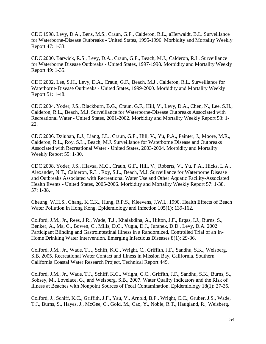CDC 1998. Levy, D.A., Bens, M.S., Craun, G.F., Calderon, R.L., aHerwaldt, B.L. Surveillance for Waterborne-Disease Outbreaks - United States, 1995-1996. Morbidity and Mortality Weekly Report 47: 1-33.

CDC 2000. Barwick, R.S., Levy, D.A., Craun, G.F., Beach, M.J., Calderon, R.L. Surveillance for Waterborne Disease Outbreaks - United States, 1997-1998. Morbidity and Mortality Weekly Report 49: 1-35.

CDC 2002. Lee, S.H., Levy, D.A., Craun, G.F., Beach, M.J., Calderon, R.L. Surveillance for Waterborne-Disease Outbreaks - United States, 1999-2000. Morbidity and Mortality Weekly Report 51: 1-48.

CDC 2004. Yoder, J.S., Blackburn, B.G., Craun, G.F., Hill, V., Levy, D.A., Chen, N., Lee, S.H., Calderon, R.L., Beach, M.J. Surveillance for Waterborne-Disease Outbreaks Associated with Recreational Water - United States, 2001-2002. Morbidity and Mortality Weekly Report 53: 1- 22.

CDC 2006. Dziuban, E.J., Liang, J.L., Craun, G.F., Hill, V., Yu, P.A., Painter, J., Moore, M.R., Calderon, R.L., Roy, S.L., Beach, M.J. Surveillance for Waterborne Disease and Outbreaks Associated with Recreational Water - United States, 2003-2004. Morbidity and Mortality Weekly Report 55: 1-30.

CDC 2008. Yoder, J.S., Hlavsa, M.C., Craun, G.F., Hill, V., Roberts, V., Yu, P.A., Hicks, L.A., Alexander, N.T., Calderon, R.L., Roy, S.L., Beach, M.J. Surveillance for Waterborne Disease and Outbreaks Associated with Recreational Water Use and Other Aquatic Facility-Associated Health Events - United States, 2005-2006. Morbidity and Mortality Weekly Report 57: 1-38. 57: 1-38.

Cheung, W.H.S., Chang, K.C.K., Hung, R.P.S., Kleevens, J.W.L. 1990. Health Effects of Beach Water Pollution in Hong Kong. Epidemiology and Infection 105(1): 139-162.

Colford, J.M., Jr., Rees, J.R., Wade, T.J., Khalakdina, A., Hilton, J.F., Ergas, I.J., Burns, S., Benker, A., Ma, C., Bowen, C., Mills, D.C., Vugia, D.J., Juranek, D.D., Levy, D.A. 2002. Participant Blinding and Gastrointestinal Illness in a Randomized, Controlled Trial of an In-Home Drinking Water Intervention. Emerging Infectious Diseases 8(1): 29-36.

Colford, J.M., Jr., Wade, T.J., Schift, K.C., Wright, C., Griffith, J.F., Sandhu, S.K., Weisberg, S.B. 2005. Recreational Water Contact and Illness in Mission Bay, California. Southern California Coastal Water Research Project, Technical Report 449.

Colford, J.M., Jr., Wade, T.J., Schiff, K.C., Wright, C.C., Griffith, J.F., Sandhu, S.K., Burns, S., Sobsey, M., Lovelace, G., and Weisberg, S.B., 2007. Water Quality Indicators and the Risk of Illness at Beaches with Nonpoint Sources of Fecal Contamination. Epidemiology 18(1): 27-35.

Colford, J., Schiff, K.C., Griffith, J.F., Yau, V., Arnold, B.F., Wright, C.C., Gruber, J.S., Wade, T.J., Burns, S., Hayes, J., McGee, C., Gold, M., Cao, Y., Noble, R.T., Haugland, R., Weisberg,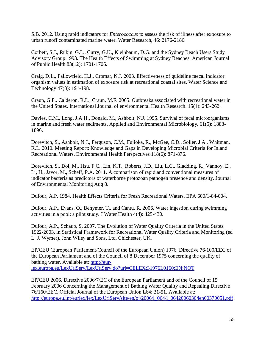S.B. 2012. Using rapid indicators for *Enterococcus* to assess the risk of illness after exposure to urban runoff contaminated marine water. Water Research, 46: 2176-2186.

Corbett, S.J., Rubin, G.L., Curry, G.K., Kleinbaum, D.G. and the Sydney Beach Users Study Advisory Group 1993. The Health Effects of Swimming at Sydney Beaches. American Journal of Public Health 83(12): 1701-1706.

Craig, D.L., Fallowfield, H.J., Cromar, N.J. 2003. Effectiveness of guideline faecal indicator organism values in estimation of exposure risk at recreational coastal sites. Water Science and Technology 47(3): 191-198.

Craun, G.F., Calderon, R.L., Craun, M.F. 2005. Outbreaks associated with recreational water in the United States. International Journal of environmental Health Research. 15(4): 243-262.

Davies, C.M., Long, J.A.H., Donald, M., Ashbolt, N.J. 1995. Survival of fecal microorganisms in marine and fresh water sediments. Applied and Environmental Microbiology, 61(5): 1888- 1896.

Dorevitch, S., Ashbolt, N.J., Ferguson, C.M., Fujioka, R., McGee, C.D., Soller, J.A., Whitman, R.L. 2010. Meeting Report: Knowledge and Gaps in Developing Microbial Criteria for Inland Recreational Waters. Environmental Health Perspectives 118(6): 871-876.

Dorevitch, S., Doi, M., Hsu, F.C., Lin, K.T., Roberts, J.D., Liu, L.C., Gladding, R., Vannoy, E., Li, H., Javor, M., Scheff, P.A. 2011. A comparison of rapid and conventional measures of indicator bacteria as predictors of waterborne protozoan pathogen presence and density. Journal of Environmental Monitoring Aug 8.

Dufour, A.P. 1984. Health Effects Criteria for Fresh Recreational Waters. EPA 600/1-84-004.

Dufour, A.P., Evans, O., Behymer, T., and Cantu, R. 2006. Water ingestion during swimming activities in a pool: a pilot study. J Water Health 4(4): 425-430.

Dufour, A.P., Schaub, S. 2007. The Evolution of Water Quality Criteria in the United States 1922-2003, in Statistical Framework for Recreational Water Quality Criteria and Monitoring (ed L. J. Wymer), John Wiley and Sons, Ltd, Chichester, UK.

EP/CEU (European Parliament/Council of the European Union) 1976. Directive 76/100/EEC of the European Parliament and of the Council of 8 December 1975 concerning the quality of bathing water. Available at: [http://eur](http://eur-lex.europa.eu/LexUriServ/LexUriServ.do?uri=CELEX:31976L0160:EN:NOT)[lex.europa.eu/LexUriServ/LexUriServ.do?uri=CELEX:31976L0160:EN:NOT](http://eur-lex.europa.eu/LexUriServ/LexUriServ.do?uri=CELEX:31976L0160:EN:NOT)

EP/CEU 2006. Directive 2006/7/EC of the European Parliament and of the Council of 15 February 2006 Concerning the Management of Bathing Water Quality and Repealing Directive 76/160/EEC. Official Journal of the European Union L64: 31-51. Available at: [http://europa.eu.int/eurlex/lex/LexUriServ/site/en/oj/2006/l\\_064/l\\_06420060304en00370051.pdf](http://europa.eu.int/eurlex/lex/LexUriServ/site/en/oj/2006/l_064/l_06420060304en00370051.pdf)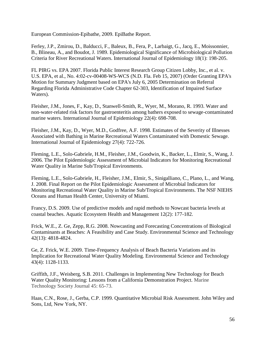European Commission-Epibathe, 2009. EpiBathe Report.

Ferley, J.P., Zmirou, D., Balducci, F., Baleux, B., Fera, P., Larbaigt, G., Jacq, E., Moissonnier, B., Blineau, A., and Boudot, J. 1989. Epidemiological Significance of Microbiological Pollution Criteria for River Recreational Waters. International Journal of Epidemiology 18(1): 198-205.

FL PIRG vs. EPA 2007. Florida Public Interest Research Group Citizen Lobby, Inc., et al. v. U.S. EPA, et al., No. 4:02-cv-00408-WS-WCS (N.D. Fla. Feb 15, 2007) (Order Granting EPA's Motion for Summary Judgment based on EPA's July 6, 2005 Determination on Referral Regarding Florida Administrative Code Chapter 62-303, Identification of Impaired Surface Waters).

Fleisher, J.M., Jones, F., Kay, D., Stanwell-Smith, R., Wyer, M., Morano, R. 1993. Water and non-water-related risk factors for gastroenteritis among bathers exposed to sewage-contaminated marine waters. International Journal of Epidemiology 22(4): 698-708.

Fleisher, J.M., Kay, D., Wyer, M.D., Godfree, A.F. 1998. Estimates of the Severity of Illnesses Associated with Bathing in Marine Recreational Waters Contaminated with Domestic Sewage. International Journal of Epidemiology 27(4): 722-726.

Fleming, L.E., Solo-Gabriele, H.M., Fleisher, J.M., Goodwin, K., Backer, L., Elmir, S., Wang, J. 2006. The Pilot Epidemiologic Assessment of Microbial Indicators for Monitoring Recreational Water Quality in Marine Sub/Tropical Environments.

Fleming, L.E., Solo-Gabriele, H., Fleisher, J.M., Elmir, S., Sinigalliano, C., Plano, L., and Wang, J. 2008. Final Report on the Pilot Epidemiologic Assessment of Microbial Indicators for Monitoring Recreational Water Quality in Marine Sub/Tropical Environments. The NSF NIEHS Oceans and Human Health Center, University of Miami.

Francy, D.S. 2009. Use of predictive models and rapid methods to Nowcast bacteria levels at coastal beaches. Aquatic Ecosystem Health and Management 12(2): 177-182.

Frick, W.E., Z. Ge, Zepp, R.G. 2008. Nowcasting and Forecasting Concentrations of Biological Contaminants at Beaches: A Feasibility and Case Study. Environmental Science and Technology 42(13): 4818-4824.

Ge, Z. Frick, W.E. 2009. Time-Frequency Analysis of Beach Bacteria Variations and its Implication for Recreational Water Quality Modeling. Environmental Science and Technology 43(4): 1128-1133.

Griffith, J.F., Weisberg, S.B. 2011. Challenges in Implementing New Technology for Beach Water Quality Monitoring: Lessons from a California Demonstration Project. Marine Technology Society Journal 45: 65-73.

Haas, C.N., Rose, J., Gerba, C.P. 1999. Quantitative Microbial Risk Assessment. John Wiley and Sons, Ltd, New York, NY.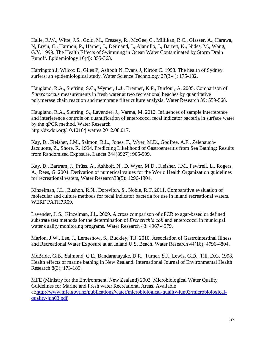Haile, R.W., Witte, J.S., Gold, M., Cressey, R., McGee, C., Millikan, R.C., Glasser, A., Harawa, N, Ervin, C., Harmon, P., Harper, J., Dermand, J., Alamillo, J., Barrett, K., Nides, M., Wang, G.Y. 1999. The Health Effects of Swimming in Ocean Water Contaminated by Storm Drain Runoff. Epidemiology 10(4): 355-363.

Harrington J, Wilcox D, Giles P, Ashbolt N, Evans J, Kirton C. 1993. The health of Sydney surfers: an epidemiological study. Water Science Technology 27(3-4): 175-182.

Haugland, R.A., Siefring, S.C., Wymer, L.J., Brenner, K.P., Durfour, A. 2005. Comparison of *Enterococcus* measurements in fresh water at two recreational beaches by quantitative polymerase chain reaction and membrane filter culture analysis. Water Research 39: 559-568.

Haugland, R.A., Siefring, S., Lavender, J., Varma, M. 2012. Influences of sample interference and interference controls on quantification of enterococci fecal indicator bacteria in surface water by the qPCR method. Water Research http://dx.doi.org/10.1016/j.watres.2012.08.017.

Kay, D., Fleisher, J.M., Salmon, R.L., Jones, F., Wyer, M.D., Godfree, A.F., Zelenauch-Jacquotte, Z., Shore, R. 1994. Predicting Likelihood of Gastroenteritis from Sea Bathing: Results from Randomised Exposure. Lancet 344(8927): 905-909.

Kay, D., Bartram, J., Prüss, A., Ashbolt, N., D. Wyer, M.D., Fleisher, J.M., Fewtrell, L., Rogers, A., Rees, G. 2004. Derivation of numerical values for the World Health Organization guidelines for recreational waters, Water Research38(5): 1296-1304.

Kinzelman, J.L., Bushon, R.N., Dorevitch, S., Noble, R.T. 2011. Comparative evaluation of molecular and culture methods for fecal indicator bacteria for use in inland recreational waters. WERF PATH7R09.

Lavender, J. S., Kinzelman, J.L. 2009. A cross comparison of qPCR to agar-based or defined substrate test methods for the determination of *Escherichia coli* and enterococci in municipal water quality monitoring programs. Water Research 43: 4967-4979.

Marion, J.W., Lee, J., Lemeshow, S., Buckley, T.J. 2010. Association of Gastrointestinal Illness and Recreational Water Exposure at an Inland U.S. Beach. Water Research 44(16): 4796-4804.

McBride, G.B., Salmond, C.E., Bandaranayake, D.R., Turner, S.J., Lewis, G.D., Till, D.G. 1998. Health effects of marine bathing in New Zealand. International Journal of Environmental Health Research 8(3): 173-189.

MFE (Ministry for the Environment, New Zealand) 2003. Microbiological Water Quality Guidelines for Marine and Fresh water Recreational Areas. Available at[:http://www.mfe.govt.nz/publications/water/microbiological-quality-jun03/microbiological](http://www.mfe.govt.nz/publications/water/microbiological-quality-jun03/microbiological-quality-jun03.pdf)[quality-jun03.pdf](http://www.mfe.govt.nz/publications/water/microbiological-quality-jun03/microbiological-quality-jun03.pdf)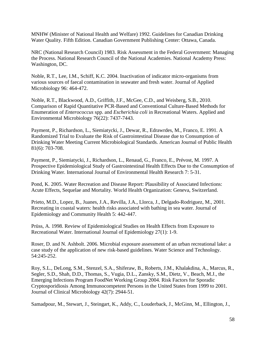MNHW (Minister of National Health and Welfare) 1992. Guidelines for Canadian Drinking Water Quality. Fifth Edition. Canadian Government Publishing Center: Ottawa, Canada.

NRC (National Research Council) 1983. Risk Assessment in the Federal Government: Managing the Process. National Research Council of the National Academies. National Academy Press: Washington, DC.

Noble, R.T., Lee, I.M., Schiff, K.C. 2004. Inactivation of indicator micro-organisms from various sources of faecal contamination in seawater and fresh water. Journal of Applied Microbiology 96: 464-472.

Noble, R.T., Blackwood, A.D., Griffith, J.F., McGee, C.D., and Weisberg, S.B., 2010. Comparison of Rapid Quantitative PCR-Based and Conventional Culture-Based Methods for Enumeration of *Enterococcus* spp. and *Escherichia coli* in Recreational Waters. Applied and Environmental Microbiology 76(22): 7437-7443.

Payment, P., Richardson, L., Siemiatycki, J., Dewar, R., Edrawrdes, M., Franco, E. 1991. A Randomized Trial to Evaluate the Risk of Gastrointestinal Disease due to Consumption of Drinking Water Meeting Current Microbiological Standards. American Journal of Public Health 81(6): 703-708.

Payment, P., Siemiatycki, J., Richardson, L., Renaud, G., Franco, E., Prévost, M. 1997. A Prospective Epidemiological Study of Gastrointestinal Health Effects Due to the Consumption of Drinking Water. International Journal of Environmental Health Research 7: 5-31.

Pond, K. 2005. Water Recreation and Disease Report: Plausibility of Associated Infections: Acute Effects, Sequelae and Mortality. World Health Organization: Geneva, Switzerland.

Prieto, M.D., Lopez, B., Juanes, J.A., Revilla, J.A., Llorca, J., Delgado-Rodriguez, M., 2001. Recreating in coastal waters: health risks associated with bathing in sea water. Journal of Epidemiology and Community Health 5: 442-447.

Prüss, A. 1998. Review of Epidemiological Studies on Health Effects from Exposure to Recreational Water. International Journal of Epidemiology 27(1): 1-9.

Roser, D. and N. Ashbolt. 2006. Microbial exposure assessment of an urban recreational lake: a case study of the application of new risk-based guidelines. Water Science and Technology. 54:245-252.

Roy, S.L., DeLong, S.M., Stenzel, S.A., Shiferaw, B., Roberts, J.M., Khalakdina, A., Marcus, R., Segler, S.D., Shah, D.D., Thomas, S., Vugia, D.L., Zansky, S.M., Dietz, V., Beach, M.J., the Emerging Infections Program FoodNet Working Group 2004. Risk Factors for Sporadic Cryptosporidiosis Among Immunocompetent Persons in the United States from 1999 to 2001. Journal of Clinical Microbiology 42(7): 2944-51.

Samadpour, M., Stewart, J., Steingart, K., Addy, C., Louderback, J., McGinn, M., Ellington, J.,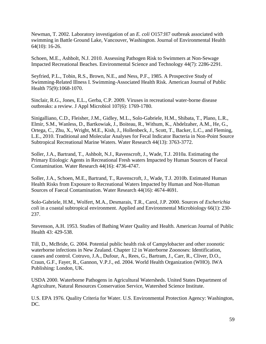Newman, T. 2002. Laboratory investigation of an *E. coli* O157:H7 outbreak associated with swimming in Battle Ground Lake, Vancouver, Washington. Journal of Environmental Health 64(10): 16-26.

Schoen, M.E., Ashbolt, N.J. 2010. Assessing Pathogen Risk to Swimmers at Non-Sewage Impacted Recreational Beaches. Environmental Science and Technology 44(7): 2286-2291.

Seyfried, P.L., Tobin, R.S., Brown, N.E., and Ness, P.F., 1985. A Prospective Study of Swimming-Related Illness I. Swimming-Associated Health Risk. American Journal of Public Health 75(9):1068-1070.

Sinclair, R.G., Jones, E.L., Gerba, C.P. 2009. Viruses in recreational water-borne disease outbreaks: a review. J Appl Microbiol 107(6): 1769-1780.

Sinigalliano, C.D., Fleisher, J.M., Gidley, M.L., Solo-Gabriele, H.M., Shibata, T., Plano, L.R., Elmir, S.M., Wanless, D., Bartkowiak, J., Boiteau, R., Withum, K., Abdelzaher, A.M., He, G., Ortega, C., Zhu, X., Wright, M.E., Kish, J., Hollenbeck, J., Scott, T., Backer, L.C., and Fleming, L.E., 2010. Traditional and Molecular Analyses for Fecal Indicator Bacteria in Non-Point Source Subtropical Recreational Marine Waters. Water Research 44(13): 3763-3772.

Soller, J.A., Bartrand, T., Ashbolt, N.J., Ravenscroft, J., Wade, T.J. 2010a. Estimating the Primary Etiologic Agents in Recreational Fresh waters Impacted by Human Sources of Faecal Contamination. Water Research 44(16): 4736-4747.

Soller, J.A., Schoen, M.E., Bartrand, T., Ravenscroft, J., Wade, T.J. 2010b. Estimated Human Health Risks from Exposure to Recreational Waters Impacted by Human and Non-Human Sources of Faecal Contamination. Water Research 44(16): 4674-4691.

Solo-Gabriele, H.M., Wolfert, M.A., Desmarais, T.R., Carol, J.P. 2000. Sources of *Escherichia coli* in a coastal subtropical environment. Applied and Environmental Microbiology 66(1): 230- 237.

Stevenson, A.H. 1953. Studies of Bathing Water Quality and Health. American Journal of Public Health 43: 429-538.

Till, D., McBride, G. 2004. Potential public health risk of Campylobacter and other zoonotic waterborne infections in New Zealand. Chapter 12 in Waterborne Zoonoses: Identification, causes and control. Cotruvo, J.A., Dufour, A., Rees, G., Bartram, J., Carr, R., Cliver, D.O., Craun, G.F., Fayer, R., Gannon, V.P.J., ed. 2004. World Health Organization (WHO). IWA Publishing: London, UK.

USDA 2000. Waterborne Pathogens in Agricultural Watersheds. United States Department of Agriculture, Natural Resources Conservation Service, Watershed Science Institute.

U.S. EPA 1976. Quality Criteria for Water. U.S. Environmental Protection Agency: Washington, DC.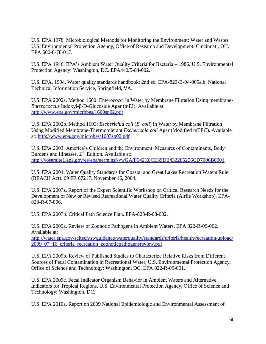U.S. EPA 1978. Microbiological Methods for Monitoring the Environment: Water and Wastes. U.S. Environmental Protection Agency, Office of Research and Development: Cincinnati, OH. EPA 600-8-78-017.

U.S. EPA 1986. EPA's Ambient Water Quality Criteria for Bacteria – 1986. U.S. Environmental Protection Agency: Washington, DC. EPA440/5-84-002.

U.S. EPA. 1994. Water quality standards handbook: 2nd ed. EPA-823-B-94-005a,b. National Technical Information Service, Springfield, VA.

U.S. EPA 2002a. Method 1600: Enterococci in Water by Membrane Filtration Using membrane-*Enterococcus* Indoxyl-β-D-Glucoside Agar (mEI). Available at: <http://www.epa.gov/microbes/1600sp02.pdf>

U.S. EPA 2002b. Method 1603: *Escherichia coli* (*E. coli*) in Water by Membrane Filtration Using Modified Membrane-Thermotolerant *Escherichia coli* Agar (Modified mTEC). Available at:<http://www.epa.gov/microbes/1603sp02.pdf>

U.S. EPA 2003. America's Children and the Environment: Measures of Contaminants, Body Burdens and Illnesses, 2<sup>nd</sup> Edition. Available at: <http://yosemite1.epa.gov/ee/epa/eerm.nsf/vwGA/F042C8CE39DE432285256CD7006B8001>

U.S. EPA 2004. Water Quality Standards for Coastal and Great Lakes Recreation Waters Rule (BEACH Act). 69 FR 67217. November 16, 2004.

U.S. EPA 2007a. Report of the Expert Scientific Workshop on Critical Research Needs for the Development of New or Revised Recreational Water Quality Criteria (Airlie Workshop). EPA-823-R-07-006.

U.S. EPA 2007b. Critical Path Science Plan. EPA-823-R-08-002.

U.S. EPA 2009a. Review of Zoonotic Pathogens in Ambient Waters. EPA 822-R-09-002. Available at:

[http://water.epa.gov/scitech/swguidance/waterquality/standards/criteria/health/recreation/upload/](http://water.epa.gov/scitech/swguidance/waterquality/standards/criteria/health/recreation/upload/2009_07_16_criteria_recreation_zoonoticpathogensreview.pdf) [2009\\_07\\_16\\_criteria\\_recreation\\_zoonoticpathogensreview.pdf](http://water.epa.gov/scitech/swguidance/waterquality/standards/criteria/health/recreation/upload/2009_07_16_criteria_recreation_zoonoticpathogensreview.pdf) 

U.S. EPA 2009b. Review of Published Studies to Characterize Relative Risks from Different Sources of Fecal Contamination in Recreational Water, U.S. Environmental Protection Agency, Office of Science and Technology: Washington, DC. EPA 822-R-09-001.

U.S. EPA 2009c. Fecal Indicator Organism Behavior in Ambient Waters and Alternative Indicators for Tropical Regions, U.S. Environmental Protection Agency, Office of Science and Technology: Washington, DC.

U.S. EPA 2010a. Report on 2009 National Epidemiologic and Environmental Assessment of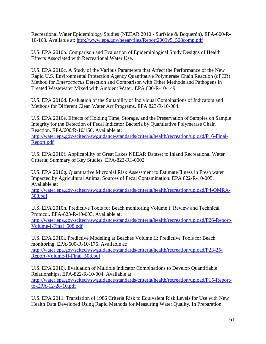Recreational Water Epidemiology Studies (NEEAR 2010 - Surfside & Boquerón). EPA-600-R-10-168. Available at: [http://www.epa.gov/neear/files/Report2009v5\\_508comp.pdf](http://www.epa.gov/neear/files/Report2009v5_508comp.pdf)

U.S. EPA 2010b. Comparison and Evaluation of Epidemiological Study Designs of Health Effects Associated with Recreational Water Use.

U.S. EPA 2010c. A Study of the Various Parameters that Affect the Performance of the New Rapid U.S. Environmental Protection Agency Quantitative Polymerase Chain Reaction (qPCR) Method for *Enterococcus* Detection and Comparison with Other Methods and Pathogens in Treated Wastewater Mixed with Ambient Water. EPA 600-R-10-149.

U.S. EPA 2010d. Evaluation of the Suitability of Individual Combinations of Indicators and Methods for Different Clean Water Act Programs. EPA 823-R-10-004.

U.S. EPA 2010e. Effects of Holding Time, Storage, and the Preservation of Samples on Sample Integrity for the Detection of Fecal Indicator Bacteria by Quantitative Polymerase Chain Reaction. EPA/600/R-10/150. Available at:

[http://water.epa.gov/scitech/swguidance/standards/criteria/health/recreation/upload/P16-Final-](http://water.epa.gov/scitech/swguidance/standards/criteria/health/recreation/upload/P16-Final-Report.pdf)[Report.pdf](http://water.epa.gov/scitech/swguidance/standards/criteria/health/recreation/upload/P16-Final-Report.pdf)

U.S. EPA 2010f. Applicability of Great Lakes NEEAR Dataset to Inland Recreational Water Criteria; Summary of Key Studies. EPA-823-R1-0002.

U.S. EPA 2010g. Quantitative Microbial Risk Assessment to Estimate Illness in Fresh water Impacted by Agricultural Animal Sources of Fecal Contamination. EPA 822-R-10-005. Available at:

[http://water.epa.gov/scitech/swguidance/standards/criteria/health/recreation/upload/P4-QMRA-](http://water.epa.gov/scitech/swguidance/standards/criteria/health/recreation/upload/P4-QMRA-508.pdf)[508.pdf](http://water.epa.gov/scitech/swguidance/standards/criteria/health/recreation/upload/P4-QMRA-508.pdf)

U.S. EPA 2010h. Predictive Tools for Beach monitoring Volume I: Review and Technical Protocol. EPA-823-R-10-003. Available at:

[http://water.epa.gov/scitech/swguidance/standards/criteria/health/recreation/upload/P26-Report-](http://water.epa.gov/scitech/swguidance/standards/criteria/health/recreation/upload/P26-Report-Volume-I-Final_508.pdf)[Volume-I-Final\\_508.pdf](http://water.epa.gov/scitech/swguidance/standards/criteria/health/recreation/upload/P26-Report-Volume-I-Final_508.pdf)

U.S. EPA 2010i. Predictive Modeling at Beaches Volume II: Predictive Tools for Beach monitoring. EPA-600-R-10-176. Available at:

[http://water.epa.gov/scitech/swguidance/standards/criteria/health/recreation/upload/P23-25-](http://water.epa.gov/scitech/swguidance/standards/criteria/health/recreation/upload/P23-25-Report-Volume-II-Final_508.pdf) [Report-Volume-II-Final\\_508.pdf](http://water.epa.gov/scitech/swguidance/standards/criteria/health/recreation/upload/P23-25-Report-Volume-II-Final_508.pdf)

U.S. EPA 2010j. Evaluation of Multiple Indicator Combinations to Develop Quantifiable Relationships. EPA-822-R-10-004. Available at:

[http://water.epa.gov/scitech/swguidance/standards/criteria/health/recreation/upload/P15-Report](http://water.epa.gov/scitech/swguidance/standards/criteria/health/recreation/upload/P15-Report-to-EPA-12-28-10.pdf)[to-EPA-12-28-10.pdf](http://water.epa.gov/scitech/swguidance/standards/criteria/health/recreation/upload/P15-Report-to-EPA-12-28-10.pdf)

U.S. EPA 2011. Translation of 1986 Criteria Risk to Equivalent Risk Levels for Use with New Health Data Developed Using Rapid Methods for Measuring Water Quality. In Preparation.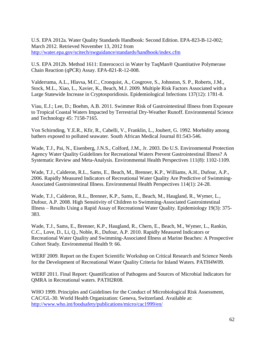U.S. EPA 2012a. Water Quality Standards Handbook: Second Edition. EPA-823-B-12-002; March 2012. Retrieved November 13, 2012 from <http://water.epa.gov/scitech/swguidance/standards/handbook/index.cfm>

U.S. EPA 2012b. Method 1611: Enterococci in Water by TaqMan® Quantitative Polymerase Chain Reaction (qPCR) Assay. EPA-821-R-12-008.

Valderrama, A.L., Hlavsa, M.C., Cronquist, A., Cosgrove, S., Johnston, S. P., Roberts, J.M., Stock, M.L., Xiao, L., Xavier, K., Beach, M.J. 2009. Multiple Risk Factors Associated with a Large Statewide Increase in Cryptosporidiosis. Epidemiological Infections 137(12): 1781-8.

Viau, E.J.; Lee, D.; Boehm, A.B. 2011. Swimmer Risk of Gastrointestinal Illness from Exposure to Tropical Coastal Waters Impacted by Terrestrial Dry-Weather Runoff. Environmental Science and Technology 45: 7158-7165.

Von Schirnding, Y.E.R., Kfir, R., Cabelli, V., Franklin, L., Joubert, G. 1992. Morbidity among bathers exposed to polluted seawater. South African Medical Journal 81:543-546.

Wade, T.J., Pai, N., Eisenberg, J.N.S., Colford, J.M., Jr. 2003. Do U.S. Environmental Protection Agency Water Quality Guidelines for Recreational Waters Prevent Gastrointestinal Illness? A Systematic Review and Meta-Analysis. Environmental Health Perspectives 111(8): 1102-1109.

Wade, T.J., Calderon, R.L., Sams, E., Beach, M., Brenner, K.P., Williams, A.H., Dufour, A.P., 2006. Rapidly Measured Indicators of Recreational Water Quality Are Predictive of Swimming-Associated Gastrointestinal Illness. Environmental Health Perspectives 114(1): 24-28.

Wade, T.J., Calderon, R.L., Brenner, K.P., Sams, E., Beach, M., Haugland, R., Wymer, L., Dufour, A.P. 2008. High Sensitivity of Children to Swimming-Associated Gastrointestinal Illness – Results Using a Rapid Assay of Recreational Water Quality. Epidemiology 19(3): 375- 383.

Wade, T.J., Sams, E., Brenner, K.P., Haugland, R., Chern, E., Beach, M., Wymer, L., Rankin, C.C., Love, D., Li, Q., Noble, R., Dufour, A.P. 2010. Rapidly Measured Indicators or Recreational Water Quality and Swimming-Associated Illness at Marine Beaches: A Prospective Cohort Study. Environmental Health 9: 66.

WERF 2009. Report on the Expert Scientific Workshop on Critical Research and Science Needs for the Development of Recreational Water Quality Criteria for Inland Waters. PATH4W09.

WERF 2011. Final Report: Quantification of Pathogens and Sources of Microbial Indicators for QMRA in Recreational waters. PATH2R08.

WHO 1999. Principles and Guidelines for the Conduct of Microbiological Risk Assessment, CAC/GL-30. World Health Organization: Geneva, Switzerland. Available at: <http://www.who.int/foodsafety/publications/micro/cac1999/en/>